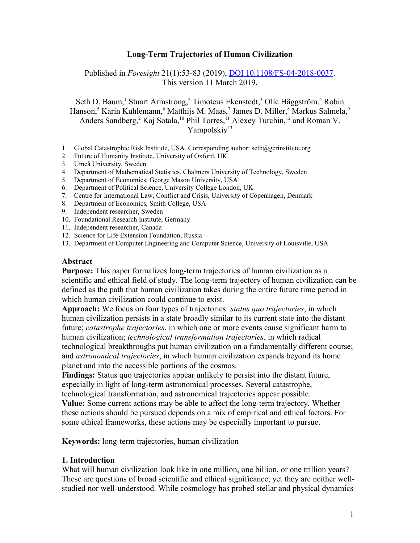## **Long-Term Trajectories of Human Civilization**

## Published in *Foresight* 21(1):53-83 (2019), [DOI 10.1108/FS-04-2018-0037.](https://dx.doi.org/10.1108/FS-04-2018-0037) This version 11 March 2019.

Seth D. Baum,<sup>1</sup> Stuart Armstrong,<sup>2</sup> Timoteus Ekenstedt,<sup>3</sup> Olle Häggström,<sup>4</sup> Robin Hanson,<sup>5</sup> Karin Kuhlemann,<sup>6</sup> Matthijs M. Maas,<sup>7</sup> James D. Miller,<sup>8</sup> Markus Salmela,<sup>9</sup> Anders Sandberg,<sup>2</sup> Kaj Sotala,<sup>10</sup> Phil Torres,<sup>11</sup> Alexey Turchin,<sup>12</sup> and Roman V. Yampolskiy<sup>13</sup>

- 1. Global Catastrophic Risk Institute, USA. Corresponding author: seth@gcrinstitute.org
- 2. Future of Humanity Institute, University of Oxford, UK
- 3. Umeå University, Sweden
- 4. Department of Mathematical Statistics, Chalmers University of Technology, Sweden
- 5. Department of Economics, George Mason University, USA
- 6. Department of Political Science, University College London, UK
- 7. Centre for International Law, Conflict and Crisis, University of Copenhagen, Denmark
- 8. Department of Economics, Smith College, USA
- 9. Independent researcher, Sweden
- 10. Foundational Research Institute, Germany
- 11. Independent researcher, Canada
- 12. Science for Life Extension Foundation, Russia
- 13. Department of Computer Engineering and Computer Science, University of Louisville, USA

## **Abstract**

**Purpose:** This paper formalizes long-term trajectories of human civilization as a scientific and ethical field of study. The long-term trajectory of human civilization can be defined as the path that human civilization takes during the entire future time period in which human civilization could continue to exist.

**Approach:** We focus on four types of trajectories: *status quo trajectories*, in which human civilization persists in a state broadly similar to its current state into the distant future; *catastrophe trajectories*, in which one or more events cause significant harm to human civilization; *technological transformation trajectories*, in which radical technological breakthroughs put human civilization on a fundamentally different course; and *astronomical trajectories*, in which human civilization expands beyond its home planet and into the accessible portions of the cosmos.

**Findings:** Status quo trajectories appear unlikely to persist into the distant future, especially in light of long-term astronomical processes. Several catastrophe, technological transformation, and astronomical trajectories appear possible.

**Value:** Some current actions may be able to affect the long-term trajectory. Whether these actions should be pursued depends on a mix of empirical and ethical factors. For some ethical frameworks, these actions may be especially important to pursue.

**Keywords:** long-term trajectories, human civilization

## **1. Introduction**

What will human civilization look like in one million, one billion, or one trillion years? These are questions of broad scientific and ethical significance, yet they are neither wellstudied nor well-understood. While cosmology has probed stellar and physical dynamics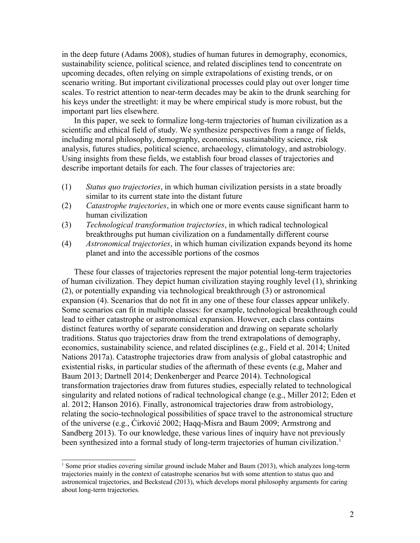in the deep future (Adams 2008), studies of human futures in demography, economics, sustainability science, political science, and related disciplines tend to concentrate on upcoming decades, often relying on simple extrapolations of existing trends, or on scenario writing. But important civilizational processes could play out over longer time scales. To restrict attention to near-term decades may be akin to the drunk searching for his keys under the streetlight: it may be where empirical study is more robust, but the important part lies elsewhere.

In this paper, we seek to formalize long-term trajectories of human civilization as a scientific and ethical field of study. We synthesize perspectives from a range of fields, including moral philosophy, demography, economics, sustainability science, risk analysis, futures studies, political science, archaeology, climatology, and astrobiology. Using insights from these fields, we establish four broad classes of trajectories and describe important details for each. The four classes of trajectories are:

- (1) *Status quo trajectories*, in which human civilization persists in a state broadly similar to its current state into the distant future
- (2) *Catastrophe trajectories*, in which one or more events cause significant harm to human civilization
- (3) *Technological transformation trajectories*, in which radical technological breakthroughs put human civilization on a fundamentally different course
- (4) *Astronomical trajectories*, in which human civilization expands beyond its home planet and into the accessible portions of the cosmos

These four classes of trajectories represent the major potential long-term trajectories of human civilization. They depict human civilization staying roughly level (1), shrinking (2), or potentially expanding via technological breakthrough (3) or astronomical expansion (4). Scenarios that do not fit in any one of these four classes appear unlikely. Some scenarios can fit in multiple classes: for example, technological breakthrough could lead to either catastrophe or astronomical expansion. However, each class contains distinct features worthy of separate consideration and drawing on separate scholarly traditions. Status quo trajectories draw from the trend extrapolations of demography, economics, sustainability science, and related disciplines (e.g., Field et al. 2014; United Nations 2017a). Catastrophe trajectories draw from analysis of global catastrophic and existential risks, in particular studies of the aftermath of these events (e.g, Maher and Baum 2013; Dartnell 2014; Denkenberger and Pearce 2014). Technological transformation trajectories draw from futures studies, especially related to technological singularity and related notions of radical technological change (e.g., Miller 2012; Eden et al. 2012; Hanson 2016). Finally, astronomical trajectories draw from astrobiology, relating the socio-technological possibilities of space travel to the astronomical structure of the universe (e.g., Ćirković 2002; Haqq-Misra and Baum 2009; Armstrong and Sandberg 2013). To our knowledge, these various lines of inquiry have not previously been synthesized into a formal study of long-term trajectories of human civilization.<sup>[1](#page-1-0)</sup>

<span id="page-1-0"></span><sup>1</sup> Some prior studies covering similar ground include Maher and Baum (2013), which analyzes long-term trajectories mainly in the context of catastrophe scenarios but with some attention to status quo and astronomical trajectories, and Beckstead (2013), which develops moral philosophy arguments for caring about long-term trajectories.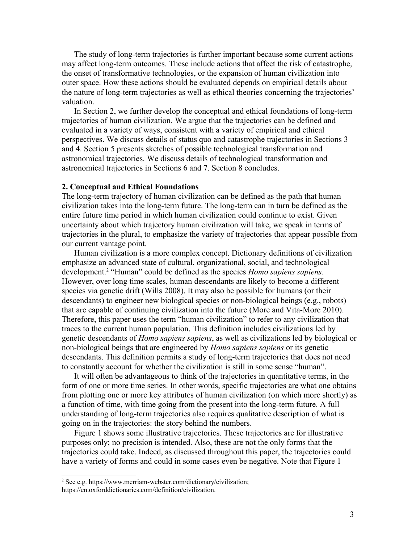The study of long-term trajectories is further important because some current actions may affect long-term outcomes. These include actions that affect the risk of catastrophe, the onset of transformative technologies, or the expansion of human civilization into outer space. How these actions should be evaluated depends on empirical details about the nature of long-term trajectories as well as ethical theories concerning the trajectories' valuation.

In Section 2, we further develop the conceptual and ethical foundations of long-term trajectories of human civilization. We argue that the trajectories can be defined and evaluated in a variety of ways, consistent with a variety of empirical and ethical perspectives. We discuss details of status quo and catastrophe trajectories in Sections 3 and 4. Section 5 presents sketches of possible technological transformation and astronomical trajectories. We discuss details of technological transformation and astronomical trajectories in Sections 6 and 7. Section 8 concludes.

#### **2. Conceptual and Ethical Foundations**

The long-term trajectory of human civilization can be defined as the path that human civilization takes into the long-term future. The long-term can in turn be defined as the entire future time period in which human civilization could continue to exist. Given uncertainty about which trajectory human civilization will take, we speak in terms of trajectories in the plural, to emphasize the variety of trajectories that appear possible from our current vantage point.

Human civilization is a more complex concept. Dictionary definitions of civilization emphasize an advanced state of cultural, organizational, social, and technological development.[2](#page-2-0) "Human" could be defined as the species *Homo sapiens sapiens*. However, over long time scales, human descendants are likely to become a different species via genetic drift (Wills 2008). It may also be possible for humans (or their descendants) to engineer new biological species or non-biological beings (e.g., robots) that are capable of continuing civilization into the future (More and Vita-More 2010). Therefore, this paper uses the term "human civilization" to refer to any civilization that traces to the current human population. This definition includes civilizations led by genetic descendants of *Homo sapiens sapiens*, as well as civilizations led by biological or non-biological beings that are engineered by *Homo sapiens sapiens* or its genetic descendants. This definition permits a study of long-term trajectories that does not need to constantly account for whether the civilization is still in some sense "human".

It will often be advantageous to think of the trajectories in quantitative terms, in the form of one or more time series. In other words, specific trajectories are what one obtains from plotting one or more key attributes of human civilization (on which more shortly) as a function of time, with time going from the present into the long-term future. A full understanding of long-term trajectories also requires qualitative description of what is going on in the trajectories: the story behind the numbers.

Figure 1 shows some illustrative trajectories. These trajectories are for illustrative purposes only; no precision is intended. Also, these are not the only forms that the trajectories could take. Indeed, as discussed throughout this paper, the trajectories could have a variety of forms and could in some cases even be negative. Note that Figure 1

<span id="page-2-0"></span><sup>&</sup>lt;sup>2</sup> See e.g. https://www.merriam-webster.com/dictionary/civilization; https://en.oxforddictionaries.com/definition/civilization.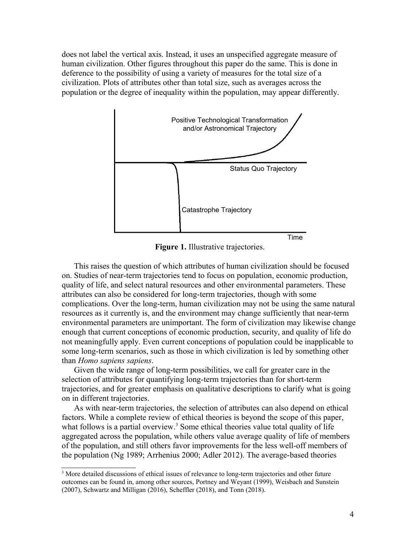does not label the vertical axis. Instead, it uses an unspecified aggregate measure of human civilization. Other figures throughout this paper do the same. This is done in deference to the possibility of using a variety of measures for the total size of a civilization. Plots of attributes other than total size, such as averages across the population or the degree of inequality within the population, may appear differently.



**Figure 1.** Illustrative trajectories.

This raises the question of which attributes of human civilization should be focused on. Studies of near-term trajectories tend to focus on population, economic production, quality of life, and select natural resources and other environmental parameters. These attributes can also be considered for long-term trajectories, though with some complications. Over the long-term, human civilization may not be using the same natural resources as it currently is, and the environment may change sufficiently that near-term environmental parameters are unimportant. The form of civilization may likewise change enough that current conceptions of economic production, security, and quality of life do not meaningfully apply. Even current conceptions of population could be inapplicable to some long-term scenarios, such as those in which civilization is led by something other than *Homo sapiens sapiens*.

Given the wide range of long-term possibilities, we call for greater care in the selection of attributes for quantifying long-term trajectories than for short-term trajectories, and for greater emphasis on qualitative descriptions to clarify what is going on in different trajectories.

As with near-term trajectories, the selection of attributes can also depend on ethical factors. While a complete review of ethical theories is beyond the scope of this paper, what follows is a partial overview.<sup>[3](#page-3-0)</sup> Some ethical theories value total quality of life aggregated across the population, while others value average quality of life of members of the population, and still others favor improvements for the less well-off members of the population (Ng 1989; Arrhenius 2000; Adler 2012). The average-based theories

<span id="page-3-0"></span><sup>&</sup>lt;sup>3</sup> More detailed discussions of ethical issues of relevance to long-term trajectories and other future outcomes can be found in, among other sources, Portney and Weyant (1999), Weisbach and Sunstein (2007), Schwartz and Milligan (2016), Scheffler (2018), and Tonn (2018).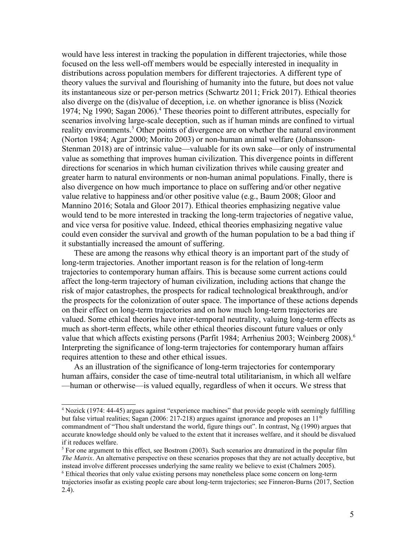would have less interest in tracking the population in different trajectories, while those focused on the less well-off members would be especially interested in inequality in distributions across population members for different trajectories. A different type of theory values the survival and flourishing of humanity into the future, but does not value its instantaneous size or per-person metrics (Schwartz 2011; Frick 2017). Ethical theories also diverge on the (dis)value of deception, i.e. on whether ignorance is bliss (Nozick 197[4](#page-4-0); Ng 1990; Sagan 2006).<sup>4</sup> These theories point to different attributes, especially for scenarios involving large-scale deception, such as if human minds are confined to virtual reality environments.<sup>[5](#page-4-1)</sup> Other points of divergence are on whether the natural environment (Norton 1984; Agar 2000; Morito 2003) or non-human animal welfare (Johansson-Stenman 2018) are of intrinsic value—valuable for its own sake—or only of instrumental value as something that improves human civilization. This divergence points in different directions for scenarios in which human civilization thrives while causing greater and greater harm to natural environments or non-human animal populations. Finally, there is also divergence on how much importance to place on suffering and/or other negative value relative to happiness and/or other positive value (e.g., Baum 2008; Gloor and Mannino 2016; Sotala and Gloor 2017). Ethical theories emphasizing negative value would tend to be more interested in tracking the long-term trajectories of negative value, and vice versa for positive value. Indeed, ethical theories emphasizing negative value could even consider the survival and growth of the human population to be a bad thing if it substantially increased the amount of suffering.

These are among the reasons why ethical theory is an important part of the study of long-term trajectories. Another important reason is for the relation of long-term trajectories to contemporary human affairs. This is because some current actions could affect the long-term trajectory of human civilization, including actions that change the risk of major catastrophes, the prospects for radical technological breakthrough, and/or the prospects for the colonization of outer space. The importance of these actions depends on their effect on long-term trajectories and on how much long-term trajectories are valued. Some ethical theories have inter-temporal neutrality, valuing long-term effects as much as short-term effects, while other ethical theories discount future values or only value that which affects existing persons (Parfit 1984; Arrhenius 2003; Weinberg 2008).<sup>[6](#page-4-2)</sup> Interpreting the significance of long-term trajectories for contemporary human affairs requires attention to these and other ethical issues.

As an illustration of the significance of long-term trajectories for contemporary human affairs, consider the case of time-neutral total utilitarianism, in which all welfare —human or otherwise—is valued equally, regardless of when it occurs. We stress that

<span id="page-4-0"></span><sup>4</sup> Nozick (1974: 44-45) argues against "experience machines" that provide people with seemingly fulfilling but false virtual realities; Sagan (2006: 217-218) argues against ignorance and proposes an  $11<sup>th</sup>$ commandment of "Thou shalt understand the world, figure things out". In contrast, Ng (1990) argues that accurate knowledge should only be valued to the extent that it increases welfare, and it should be disvalued if it reduces welfare.

<span id="page-4-1"></span> $5$  For one argument to this effect, see Bostrom (2003). Such scenarios are dramatized in the popular film *The Matrix*. An alternative perspective on these scenarios proposes that they are not actually deceptive, but instead involve different processes underlying the same reality we believe to exist (Chalmers 2005).

<span id="page-4-2"></span><sup>&</sup>lt;sup>6</sup> Ethical theories that only value existing persons may nonetheless place some concern on long-term trajectories insofar as existing people care about long-term trajectories; see Finneron-Burns (2017, Section 2.4).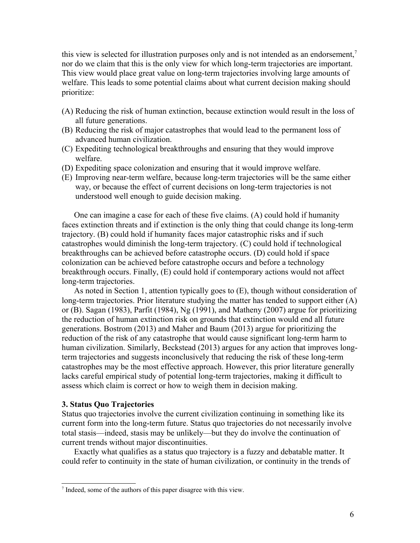this view is selected for illustration purposes only and is not intended as an endorsement,<sup>[7](#page-5-0)</sup> nor do we claim that this is the only view for which long-term trajectories are important. This view would place great value on long-term trajectories involving large amounts of welfare. This leads to some potential claims about what current decision making should prioritize:

- (A) Reducing the risk of human extinction, because extinction would result in the loss of all future generations.
- (B) Reducing the risk of major catastrophes that would lead to the permanent loss of advanced human civilization.
- (C) Expediting technological breakthroughs and ensuring that they would improve welfare.
- (D) Expediting space colonization and ensuring that it would improve welfare.
- (E) Improving near-term welfare, because long-term trajectories will be the same either way, or because the effect of current decisions on long-term trajectories is not understood well enough to guide decision making.

One can imagine a case for each of these five claims. (A) could hold if humanity faces extinction threats and if extinction is the only thing that could change its long-term trajectory. (B) could hold if humanity faces major catastrophic risks and if such catastrophes would diminish the long-term trajectory. (C) could hold if technological breakthroughs can be achieved before catastrophe occurs. (D) could hold if space colonization can be achieved before catastrophe occurs and before a technology breakthrough occurs. Finally, (E) could hold if contemporary actions would not affect long-term trajectories.

As noted in Section 1, attention typically goes to (E), though without consideration of long-term trajectories. Prior literature studying the matter has tended to support either (A) or (B). Sagan (1983), Parfit (1984), Ng (1991), and Matheny (2007) argue for prioritizing the reduction of human extinction risk on grounds that extinction would end all future generations. Bostrom (2013) and Maher and Baum (2013) argue for prioritizing the reduction of the risk of any catastrophe that would cause significant long-term harm to human civilization. Similarly, Beckstead (2013) argues for any action that improves longterm trajectories and suggests inconclusively that reducing the risk of these long-term catastrophes may be the most effective approach. However, this prior literature generally lacks careful empirical study of potential long-term trajectories, making it difficult to assess which claim is correct or how to weigh them in decision making.

#### **3. Status Quo Trajectories**

Status quo trajectories involve the current civilization continuing in something like its current form into the long-term future. Status quo trajectories do not necessarily involve total stasis—indeed, stasis may be unlikely—but they do involve the continuation of current trends without major discontinuities.

Exactly what qualifies as a status quo trajectory is a fuzzy and debatable matter. It could refer to continuity in the state of human civilization, or continuity in the trends of

<span id="page-5-0"></span><sup>&</sup>lt;sup>7</sup> Indeed, some of the authors of this paper disagree with this view.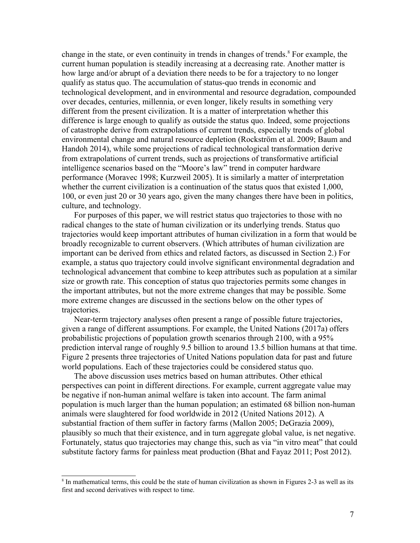change in the state, or even continuity in trends in changes of trends.<sup>[8](#page-6-0)</sup> For example, the current human population is steadily increasing at a decreasing rate. Another matter is how large and/or abrupt of a deviation there needs to be for a trajectory to no longer qualify as status quo. The accumulation of status-quo trends in economic and technological development, and in environmental and resource degradation, compounded over decades, centuries, millennia, or even longer, likely results in something very different from the present civilization. It is a matter of interpretation whether this difference is large enough to qualify as outside the status quo. Indeed, some projections of catastrophe derive from extrapolations of current trends, especially trends of global environmental change and natural resource depletion (Rockström et al. 2009; Baum and Handoh 2014), while some projections of radical technological transformation derive from extrapolations of current trends, such as projections of transformative artificial intelligence scenarios based on the "Moore's law" trend in computer hardware performance (Moravec 1998; Kurzweil 2005). It is similarly a matter of interpretation whether the current civilization is a continuation of the status quos that existed 1,000, 100, or even just 20 or 30 years ago, given the many changes there have been in politics, culture, and technology.

For purposes of this paper, we will restrict status quo trajectories to those with no radical changes to the state of human civilization or its underlying trends. Status quo trajectories would keep important attributes of human civilization in a form that would be broadly recognizable to current observers. (Which attributes of human civilization are important can be derived from ethics and related factors, as discussed in Section 2.) For example, a status quo trajectory could involve significant environmental degradation and technological advancement that combine to keep attributes such as population at a similar size or growth rate. This conception of status quo trajectories permits some changes in the important attributes, but not the more extreme changes that may be possible. Some more extreme changes are discussed in the sections below on the other types of trajectories.

Near-term trajectory analyses often present a range of possible future trajectories, given a range of different assumptions. For example, the United Nations (2017a) offers probabilistic projections of population growth scenarios through 2100, with a 95% prediction interval range of roughly 9.5 billion to around 13.5 billion humans at that time. Figure 2 presents three trajectories of United Nations population data for past and future world populations. Each of these trajectories could be considered status quo.

The above discussion uses metrics based on human attributes. Other ethical perspectives can point in different directions. For example, current aggregate value may be negative if non-human animal welfare is taken into account. The farm animal population is much larger than the human population; an estimated 68 billion non-human animals were slaughtered for food worldwide in 2012 (United Nations 2012). A substantial fraction of them suffer in factory farms (Mallon 2005; DeGrazia 2009), plausibly so much that their existence, and in turn aggregate global value, is net negative. Fortunately, status quo trajectories may change this, such as via "in vitro meat" that could substitute factory farms for painless meat production (Bhat and Fayaz 2011; Post 2012).

<span id="page-6-0"></span><sup>&</sup>lt;sup>8</sup> In mathematical terms, this could be the state of human civilization as shown in Figures 2-3 as well as its first and second derivatives with respect to time.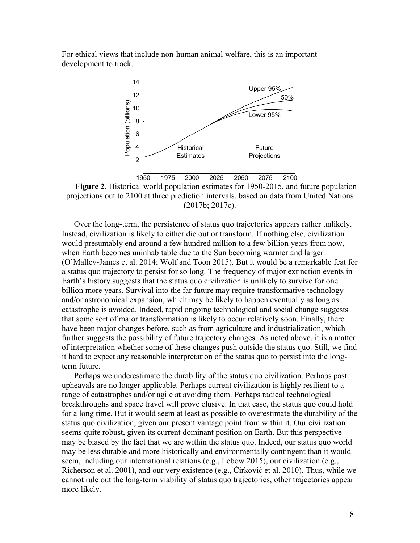For ethical views that include non-human animal welfare, this is an important development to track.



**Figure 2**. Historical world population estimates for 1950-2015, and future population projections out to 2100 at three prediction intervals, based on data from United Nations (2017b; 2017c).

Over the long-term, the persistence of status quo trajectories appears rather unlikely. Instead, civilization is likely to either die out or transform. If nothing else, civilization would presumably end around a few hundred million to a few billion years from now, when Earth becomes uninhabitable due to the Sun becoming warmer and larger (O'Malley-James et al. 2014; Wolf and Toon 2015). But it would be a remarkable feat for a status quo trajectory to persist for so long. The frequency of major extinction events in Earth's history suggests that the status quo civilization is unlikely to survive for one billion more years. Survival into the far future may require transformative technology and/or astronomical expansion, which may be likely to happen eventually as long as catastrophe is avoided. Indeed, rapid ongoing technological and social change suggests that some sort of major transformation is likely to occur relatively soon. Finally, there have been major changes before, such as from agriculture and industrialization, which further suggests the possibility of future trajectory changes. As noted above, it is a matter of interpretation whether some of these changes push outside the status quo. Still, we find it hard to expect any reasonable interpretation of the status quo to persist into the longterm future.

Perhaps we underestimate the durability of the status quo civilization. Perhaps past upheavals are no longer applicable. Perhaps current civilization is highly resilient to a range of catastrophes and/or agile at avoiding them. Perhaps radical technological breakthroughs and space travel will prove elusive. In that case, the status quo could hold for a long time. But it would seem at least as possible to overestimate the durability of the status quo civilization, given our present vantage point from within it. Our civilization seems quite robust, given its current dominant position on Earth. But this perspective may be biased by the fact that we are within the status quo. Indeed, our status quo world may be less durable and more historically and environmentally contingent than it would seem, including our international relations (e.g., Lebow 2015), our civilization (e.g., Richerson et al. 2001), and our very existence (e.g., Ćirković et al. 2010). Thus, while we cannot rule out the long-term viability of status quo trajectories, other trajectories appear more likely.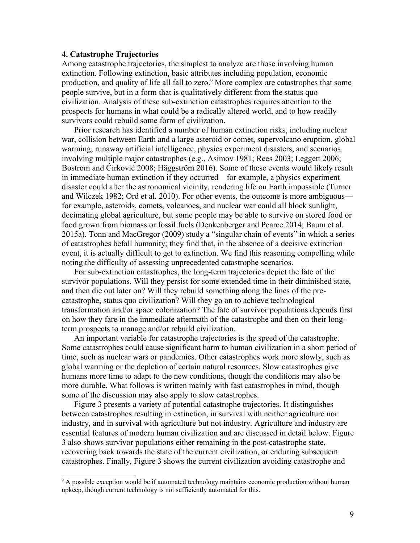## **4. Catastrophe Trajectories**

Among catastrophe trajectories, the simplest to analyze are those involving human extinction. Following extinction, basic attributes including population, economic production, and quality of life all fall to zero.<sup>[9](#page-8-0)</sup> More complex are catastrophes that some people survive, but in a form that is qualitatively different from the status quo civilization. Analysis of these sub-extinction catastrophes requires attention to the prospects for humans in what could be a radically altered world, and to how readily survivors could rebuild some form of civilization.

Prior research has identified a number of human extinction risks, including nuclear war, collision between Earth and a large asteroid or comet, supervolcano eruption, global warming, runaway artificial intelligence, physics experiment disasters, and scenarios involving multiple major catastrophes (e.g., Asimov 1981; Rees 2003; Leggett 2006; Bostrom and Ćirković 2008; Häggström 2016). Some of these events would likely result in immediate human extinction if they occurred—for example, a physics experiment disaster could alter the astronomical vicinity, rendering life on Earth impossible (Turner and Wilczek 1982; Ord et al. 2010). For other events, the outcome is more ambiguous for example, asteroids, comets, volcanoes, and nuclear war could all block sunlight, decimating global agriculture, but some people may be able to survive on stored food or food grown from biomass or fossil fuels (Denkenberger and Pearce 2014; Baum et al. 2015a). Tonn and MacGregor (2009) study a "singular chain of events" in which a series of catastrophes befall humanity; they find that, in the absence of a decisive extinction event, it is actually difficult to get to extinction. We find this reasoning compelling while noting the difficulty of assessing unprecedented catastrophe scenarios.

For sub-extinction catastrophes, the long-term trajectories depict the fate of the survivor populations. Will they persist for some extended time in their diminished state, and then die out later on? Will they rebuild something along the lines of the precatastrophe, status quo civilization? Will they go on to achieve technological transformation and/or space colonization? The fate of survivor populations depends first on how they fare in the immediate aftermath of the catastrophe and then on their longterm prospects to manage and/or rebuild civilization.

An important variable for catastrophe trajectories is the speed of the catastrophe. Some catastrophes could cause significant harm to human civilization in a short period of time, such as nuclear wars or pandemics. Other catastrophes work more slowly, such as global warming or the depletion of certain natural resources. Slow catastrophes give humans more time to adapt to the new conditions, though the conditions may also be more durable. What follows is written mainly with fast catastrophes in mind, though some of the discussion may also apply to slow catastrophes.

Figure 3 presents a variety of potential catastrophe trajectories. It distinguishes between catastrophes resulting in extinction, in survival with neither agriculture nor industry, and in survival with agriculture but not industry. Agriculture and industry are essential features of modern human civilization and are discussed in detail below. Figure 3 also shows survivor populations either remaining in the post-catastrophe state, recovering back towards the state of the current civilization, or enduring subsequent catastrophes. Finally, Figure 3 shows the current civilization avoiding catastrophe and

<span id="page-8-0"></span><sup>&</sup>lt;sup>9</sup> A possible exception would be if automated technology maintains economic production without human upkeep, though current technology is not sufficiently automated for this.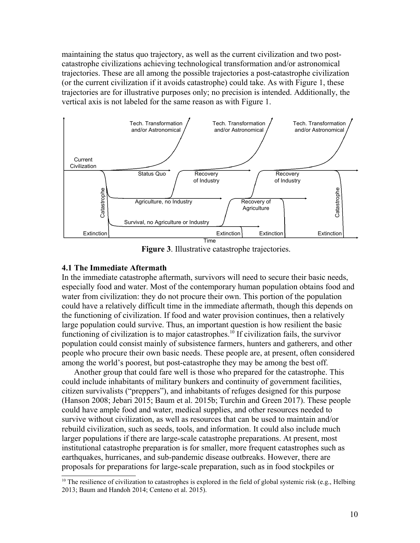maintaining the status quo trajectory, as well as the current civilization and two postcatastrophe civilizations achieving technological transformation and/or astronomical trajectories. These are all among the possible trajectories a post-catastrophe civilization (or the current civilization if it avoids catastrophe) could take. As with Figure 1, these trajectories are for illustrative purposes only; no precision is intended. Additionally, the vertical axis is not labeled for the same reason as with Figure 1.



**Figure 3**. Illustrative catastrophe trajectories.

## **4.1 The Immediate Aftermath**

In the immediate catastrophe aftermath, survivors will need to secure their basic needs, especially food and water. Most of the contemporary human population obtains food and water from civilization: they do not procure their own. This portion of the population could have a relatively difficult time in the immediate aftermath, though this depends on the functioning of civilization. If food and water provision continues, then a relatively large population could survive. Thus, an important question is how resilient the basic functioning of civilization is to major catastrophes.<sup>[10](#page-9-0)</sup> If civilization fails, the survivor population could consist mainly of subsistence farmers, hunters and gatherers, and other people who procure their own basic needs. These people are, at present, often considered among the world's poorest, but post-catastrophe they may be among the best off.

Another group that could fare well is those who prepared for the catastrophe. This could include inhabitants of military bunkers and continuity of government facilities, citizen survivalists ("preppers"), and inhabitants of refuges designed for this purpose (Hanson 2008; Jebari 2015; Baum et al. 2015b; Turchin and Green 2017). These people could have ample food and water, medical supplies, and other resources needed to survive without civilization, as well as resources that can be used to maintain and/or rebuild civilization, such as seeds, tools, and information. It could also include much larger populations if there are large-scale catastrophe preparations. At present, most institutional catastrophe preparation is for smaller, more frequent catastrophes such as earthquakes, hurricanes, and sub-pandemic disease outbreaks. However, there are proposals for preparations for large-scale preparation, such as in food stockpiles or

<span id="page-9-0"></span><sup>&</sup>lt;sup>10</sup> The resilience of civilization to catastrophes is explored in the field of global systemic risk (e.g., Helbing 2013; Baum and Handoh 2014; Centeno et al. 2015).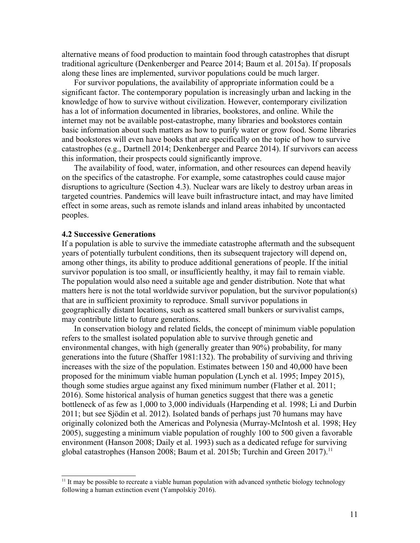alternative means of food production to maintain food through catastrophes that disrupt traditional agriculture (Denkenberger and Pearce 2014; Baum et al. 2015a). If proposals along these lines are implemented, survivor populations could be much larger.

For survivor populations, the availability of appropriate information could be a significant factor. The contemporary population is increasingly urban and lacking in the knowledge of how to survive without civilization. However, contemporary civilization has a lot of information documented in libraries, bookstores, and online. While the internet may not be available post-catastrophe, many libraries and bookstores contain basic information about such matters as how to purify water or grow food. Some libraries and bookstores will even have books that are specifically on the topic of how to survive catastrophes (e.g., Dartnell 2014; Denkenberger and Pearce 2014). If survivors can access this information, their prospects could significantly improve.

The availability of food, water, information, and other resources can depend heavily on the specifics of the catastrophe. For example, some catastrophes could cause major disruptions to agriculture (Section 4.3). Nuclear wars are likely to destroy urban areas in targeted countries. Pandemics will leave built infrastructure intact, and may have limited effect in some areas, such as remote islands and inland areas inhabited by uncontacted peoples.

## **4.2 Successive Generations**

If a population is able to survive the immediate catastrophe aftermath and the subsequent years of potentially turbulent conditions, then its subsequent trajectory will depend on, among other things, its ability to produce additional generations of people. If the initial survivor population is too small, or insufficiently healthy, it may fail to remain viable. The population would also need a suitable age and gender distribution. Note that what matters here is not the total worldwide survivor population, but the survivor population(s) that are in sufficient proximity to reproduce. Small survivor populations in geographically distant locations, such as scattered small bunkers or survivalist camps, may contribute little to future generations.

In conservation biology and related fields, the concept of minimum viable population refers to the smallest isolated population able to survive through genetic and environmental changes, with high (generally greater than 90%) probability, for many generations into the future (Shaffer 1981:132). The probability of surviving and thriving increases with the size of the population. Estimates between 150 and 40,000 have been proposed for the minimum viable human population (Lynch et al. 1995; Impey 2015), though some studies argue against any fixed minimum number (Flather et al. 2011; 2016). Some historical analysis of human genetics suggest that there was a genetic bottleneck of as few as 1,000 to 3,000 individuals (Harpending et al. 1998; Li and Durbin 2011; but see Sjödin et al. 2012). Isolated bands of perhaps just 70 humans may have originally colonized both the Americas and Polynesia (Murray-McIntosh et al. 1998; Hey 2005), suggesting a minimum viable population of roughly 100 to 500 given a favorable environment (Hanson 2008; Daily et al. 1993) such as a dedicated refuge for surviving global catastrophes (Hanson 2008; Baum et al. 2015b; Turchin and Green 2017).<sup>[11](#page-10-0)</sup>

<span id="page-10-0"></span><sup>&</sup>lt;sup>11</sup> It may be possible to recreate a viable human population with advanced synthetic biology technology following a human extinction event (Yampolskiy 2016).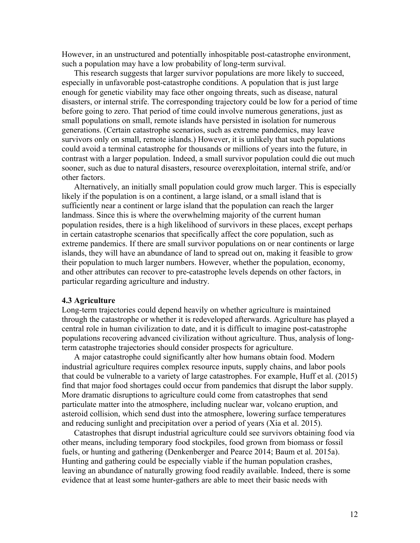However, in an unstructured and potentially inhospitable post-catastrophe environment, such a population may have a low probability of long-term survival.

This research suggests that larger survivor populations are more likely to succeed, especially in unfavorable post-catastrophe conditions. A population that is just large enough for genetic viability may face other ongoing threats, such as disease, natural disasters, or internal strife. The corresponding trajectory could be low for a period of time before going to zero. That period of time could involve numerous generations, just as small populations on small, remote islands have persisted in isolation for numerous generations. (Certain catastrophe scenarios, such as extreme pandemics, may leave survivors only on small, remote islands.) However, it is unlikely that such populations could avoid a terminal catastrophe for thousands or millions of years into the future, in contrast with a larger population. Indeed, a small survivor population could die out much sooner, such as due to natural disasters, resource overexploitation, internal strife, and/or other factors.

Alternatively, an initially small population could grow much larger. This is especially likely if the population is on a continent, a large island, or a small island that is sufficiently near a continent or large island that the population can reach the larger landmass. Since this is where the overwhelming majority of the current human population resides, there is a high likelihood of survivors in these places, except perhaps in certain catastrophe scenarios that specifically affect the core population, such as extreme pandemics. If there are small survivor populations on or near continents or large islands, they will have an abundance of land to spread out on, making it feasible to grow their population to much larger numbers. However, whether the population, economy, and other attributes can recover to pre-catastrophe levels depends on other factors, in particular regarding agriculture and industry.

#### **4.3 Agriculture**

Long-term trajectories could depend heavily on whether agriculture is maintained through the catastrophe or whether it is redeveloped afterwards. Agriculture has played a central role in human civilization to date, and it is difficult to imagine post-catastrophe populations recovering advanced civilization without agriculture. Thus, analysis of longterm catastrophe trajectories should consider prospects for agriculture.

A major catastrophe could significantly alter how humans obtain food. Modern industrial agriculture requires complex resource inputs, supply chains, and labor pools that could be vulnerable to a variety of large catastrophes. For example, Huff et al. (2015) find that major food shortages could occur from pandemics that disrupt the labor supply. More dramatic disruptions to agriculture could come from catastrophes that send particulate matter into the atmosphere, including nuclear war, volcano eruption, and asteroid collision, which send dust into the atmosphere, lowering surface temperatures and reducing sunlight and precipitation over a period of years (Xia et al. 2015).

Catastrophes that disrupt industrial agriculture could see survivors obtaining food via other means, including temporary food stockpiles, food grown from biomass or fossil fuels, or hunting and gathering (Denkenberger and Pearce 2014; Baum et al. 2015a). Hunting and gathering could be especially viable if the human population crashes, leaving an abundance of naturally growing food readily available. Indeed, there is some evidence that at least some hunter-gathers are able to meet their basic needs with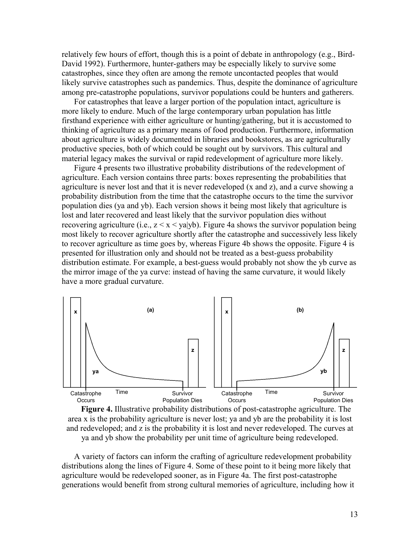relatively few hours of effort, though this is a point of debate in anthropology (e.g., Bird-David 1992). Furthermore, hunter-gathers may be especially likely to survive some catastrophes, since they often are among the remote uncontacted peoples that would likely survive catastrophes such as pandemics. Thus, despite the dominance of agriculture among pre-catastrophe populations, survivor populations could be hunters and gatherers.

For catastrophes that leave a larger portion of the population intact, agriculture is more likely to endure. Much of the large contemporary urban population has little firsthand experience with either agriculture or hunting/gathering, but it is accustomed to thinking of agriculture as a primary means of food production. Furthermore, information about agriculture is widely documented in libraries and bookstores, as are agriculturally productive species, both of which could be sought out by survivors. This cultural and material legacy makes the survival or rapid redevelopment of agriculture more likely.

Figure 4 presents two illustrative probability distributions of the redevelopment of agriculture. Each version contains three parts: boxes representing the probabilities that agriculture is never lost and that it is never redeveloped (x and z), and a curve showing a probability distribution from the time that the catastrophe occurs to the time the survivor population dies (ya and yb). Each version shows it being most likely that agriculture is lost and later recovered and least likely that the survivor population dies without recovering agriculture (i.e.,  $z < x <$ ya|yb). Figure 4a shows the survivor population being most likely to recover agriculture shortly after the catastrophe and successively less likely to recover agriculture as time goes by, whereas Figure 4b shows the opposite. Figure 4 is presented for illustration only and should not be treated as a best-guess probability distribution estimate. For example, a best-guess would probably not show the yb curve as the mirror image of the ya curve: instead of having the same curvature, it would likely have a more gradual curvature.





A variety of factors can inform the crafting of agriculture redevelopment probability distributions along the lines of Figure 4. Some of these point to it being more likely that agriculture would be redeveloped sooner, as in Figure 4a. The first post-catastrophe generations would benefit from strong cultural memories of agriculture, including how it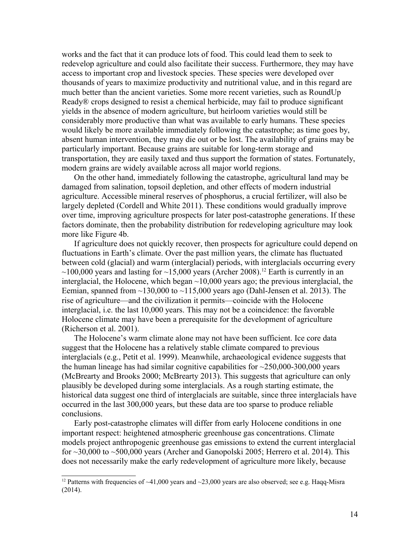works and the fact that it can produce lots of food. This could lead them to seek to redevelop agriculture and could also facilitate their success. Furthermore, they may have access to important crop and livestock species. These species were developed over thousands of years to maximize productivity and nutritional value, and in this regard are much better than the ancient varieties. Some more recent varieties, such as RoundUp Ready® crops designed to resist a chemical herbicide, may fail to produce significant yields in the absence of modern agriculture, but heirloom varieties would still be considerably more productive than what was available to early humans. These species would likely be more available immediately following the catastrophe; as time goes by, absent human intervention, they may die out or be lost. The availability of grains may be particularly important. Because grains are suitable for long-term storage and transportation, they are easily taxed and thus support the formation of states. Fortunately, modern grains are widely available across all major world regions.

On the other hand, immediately following the catastrophe, agricultural land may be damaged from salination, topsoil depletion, and other effects of modern industrial agriculture. Accessible mineral reserves of phosphorus, a crucial fertilizer, will also be largely depleted (Cordell and White 2011). These conditions would gradually improve over time, improving agriculture prospects for later post-catastrophe generations. If these factors dominate, then the probability distribution for redeveloping agriculture may look more like Figure 4b.

If agriculture does not quickly recover, then prospects for agriculture could depend on fluctuations in Earth's climate. Over the past million years, the climate has fluctuated between cold (glacial) and warm (interglacial) periods, with interglacials occurring every  $\sim$ 100,000 years and lasting for  $\sim$ 15,000 years (Archer 2008).<sup>[12](#page-13-0)</sup> Earth is currently in an interglacial, the Holocene, which began  $\sim$ 10,000 years ago; the previous interglacial, the Eemian, spanned from  $\sim$ 130,000 to  $\sim$ 115,000 years ago (Dahl-Jensen et al. 2013). The rise of agriculture—and the civilization it permits—coincide with the Holocene interglacial, i.e. the last 10,000 years. This may not be a coincidence: the favorable Holocene climate may have been a prerequisite for the development of agriculture (Richerson et al. 2001).

The Holocene's warm climate alone may not have been sufficient. Ice core data suggest that the Holocene has a relatively stable climate compared to previous interglacials (e.g., Petit et al. 1999). Meanwhile, archaeological evidence suggests that the human lineage has had similar cognitive capabilities for  $\sim$ 250,000-300,000 years (McBrearty and Brooks 2000; McBrearty 2013). This suggests that agriculture can only plausibly be developed during some interglacials. As a rough starting estimate, the historical data suggest one third of interglacials are suitable, since three interglacials have occurred in the last 300,000 years, but these data are too sparse to produce reliable conclusions.

Early post-catastrophe climates will differ from early Holocene conditions in one important respect: heightened atmospheric greenhouse gas concentrations. Climate models project anthropogenic greenhouse gas emissions to extend the current interglacial for  $\sim$ 30,000 to  $\sim$ 500,000 years (Archer and Ganopolski 2005; Herrero et al. 2014). This does not necessarily make the early redevelopment of agriculture more likely, because

<span id="page-13-0"></span><sup>&</sup>lt;sup>12</sup> Patterns with frequencies of  $~41,000$  years and  $~23,000$  years are also observed; see e.g. Haqq-Misra (2014).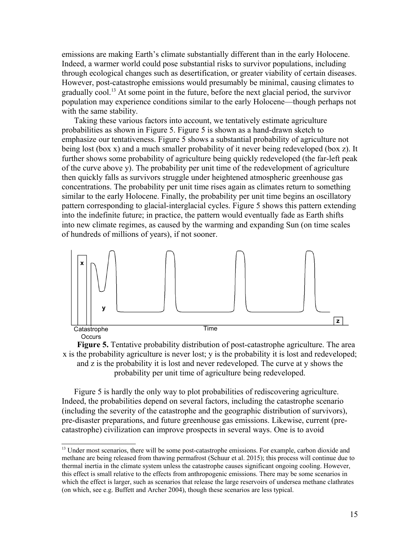emissions are making Earth's climate substantially different than in the early Holocene. Indeed, a warmer world could pose substantial risks to survivor populations, including through ecological changes such as desertification, or greater viability of certain diseases. However, post-catastrophe emissions would presumably be minimal, causing climates to gradually cool.[13](#page-14-0) At some point in the future, before the next glacial period, the survivor population may experience conditions similar to the early Holocene—though perhaps not with the same stability.

Taking these various factors into account, we tentatively estimate agriculture probabilities as shown in Figure 5. Figure 5 is shown as a hand-drawn sketch to emphasize our tentativeness. Figure 5 shows a substantial probability of agriculture not being lost (box x) and a much smaller probability of it never being redeveloped (box z). It further shows some probability of agriculture being quickly redeveloped (the far-left peak of the curve above y). The probability per unit time of the redevelopment of agriculture then quickly falls as survivors struggle under heightened atmospheric greenhouse gas concentrations. The probability per unit time rises again as climates return to something similar to the early Holocene. Finally, the probability per unit time begins an oscillatory pattern corresponding to glacial-interglacial cycles. Figure 5 shows this pattern extending into the indefinite future; in practice, the pattern would eventually fade as Earth shifts into new climate regimes, as caused by the warming and expanding Sun (on time scales of hundreds of millions of years), if not sooner.



**Figure 5.** Tentative probability distribution of post-catastrophe agriculture. The area x is the probability agriculture is never lost; y is the probability it is lost and redeveloped; and z is the probability it is lost and never redeveloped. The curve at y shows the probability per unit time of agriculture being redeveloped.

Figure 5 is hardly the only way to plot probabilities of rediscovering agriculture. Indeed, the probabilities depend on several factors, including the catastrophe scenario (including the severity of the catastrophe and the geographic distribution of survivors), pre-disaster preparations, and future greenhouse gas emissions. Likewise, current (precatastrophe) civilization can improve prospects in several ways. One is to avoid

<span id="page-14-0"></span><sup>&</sup>lt;sup>13</sup> Under most scenarios, there will be some post-catastrophe emissions. For example, carbon dioxide and methane are being released from thawing permafrost (Schuur et al. 2015); this process will continue due to thermal inertia in the climate system unless the catastrophe causes significant ongoing cooling. However, this effect is small relative to the effects from anthropogenic emissions. There may be some scenarios in which the effect is larger, such as scenarios that release the large reservoirs of undersea methane clathrates (on which, see e.g. Buffett and Archer 2004), though these scenarios are less typical.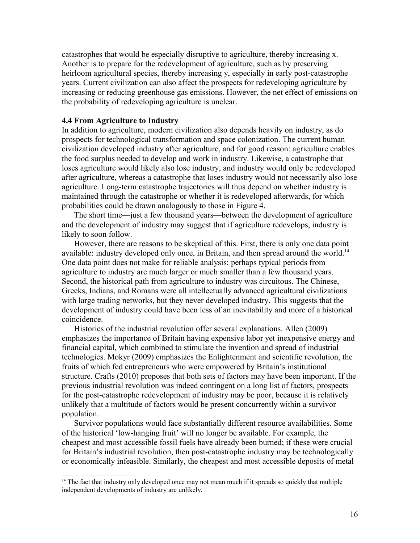catastrophes that would be especially disruptive to agriculture, thereby increasing x. Another is to prepare for the redevelopment of agriculture, such as by preserving heirloom agricultural species, thereby increasing y, especially in early post-catastrophe years. Current civilization can also affect the prospects for redeveloping agriculture by increasing or reducing greenhouse gas emissions. However, the net effect of emissions on the probability of redeveloping agriculture is unclear.

## **4.4 From Agriculture to Industry**

In addition to agriculture, modern civilization also depends heavily on industry, as do prospects for technological transformation and space colonization. The current human civilization developed industry after agriculture, and for good reason: agriculture enables the food surplus needed to develop and work in industry. Likewise, a catastrophe that loses agriculture would likely also lose industry, and industry would only be redeveloped after agriculture, whereas a catastrophe that loses industry would not necessarily also lose agriculture. Long-term catastrophe trajectories will thus depend on whether industry is maintained through the catastrophe or whether it is redeveloped afterwards, for which probabilities could be drawn analogously to those in Figure 4.

The short time—just a few thousand years—between the development of agriculture and the development of industry may suggest that if agriculture redevelops, industry is likely to soon follow.

However, there are reasons to be skeptical of this. First, there is only one data point available: industry developed only once, in Britain, and then spread around the world.<sup>[14](#page-15-0)</sup> One data point does not make for reliable analysis: perhaps typical periods from agriculture to industry are much larger or much smaller than a few thousand years. Second, the historical path from agriculture to industry was circuitous. The Chinese, Greeks, Indians, and Romans were all intellectually advanced agricultural civilizations with large trading networks, but they never developed industry. This suggests that the development of industry could have been less of an inevitability and more of a historical coincidence.

Histories of the industrial revolution offer several explanations. Allen (2009) emphasizes the importance of Britain having expensive labor yet inexpensive energy and financial capital, which combined to stimulate the invention and spread of industrial technologies. Mokyr (2009) emphasizes the Enlightenment and scientific revolution, the fruits of which fed entrepreneurs who were empowered by Britain's institutional structure. Crafts (2010) proposes that both sets of factors may have been important. If the previous industrial revolution was indeed contingent on a long list of factors, prospects for the post-catastrophe redevelopment of industry may be poor, because it is relatively unlikely that a multitude of factors would be present concurrently within a survivor population.

Survivor populations would face substantially different resource availabilities. Some of the historical 'low-hanging fruit' will no longer be available. For example, the cheapest and most accessible fossil fuels have already been burned; if these were crucial for Britain's industrial revolution, then post-catastrophe industry may be technologically or economically infeasible. Similarly, the cheapest and most accessible deposits of metal

<span id="page-15-0"></span><sup>&</sup>lt;sup>14</sup> The fact that industry only developed once may not mean much if it spreads so quickly that multiple independent developments of industry are unlikely.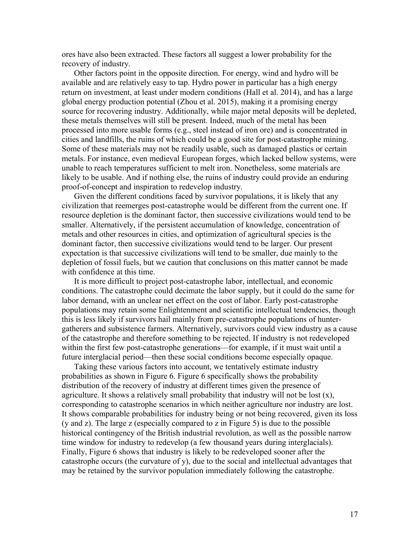ores have also been extracted. These factors all suggest a lower probability for the recovery of industry.

Other factors point in the opposite direction. For energy, wind and hydro will be available and are relatively easy to tap. Hydro power in particular has a high energy return on investment, at least under modern conditions (Hall et al. 2014), and has a large global energy production potential (Zhou et al. 2015), making it a promising energy source for recovering industry. Additionally, while major metal deposits will be depleted, these metals themselves will still be present. Indeed, much of the metal has been processed into more usable forms (e.g., steel instead of iron ore) and is concentrated in cities and landfills, the ruins of which could be a good site for post-catastrophe mining. Some of these materials may not be readily usable, such as damaged plastics or certain metals. For instance, even medieval European forges, which lacked bellow systems, were unable to reach temperatures sufficient to melt iron. Nonetheless, some materials are likely to be usable. And if nothing else, the ruins of industry could provide an enduring proof-of-concept and inspiration to redevelop industry.

Given the different conditions faced by survivor populations, it is likely that any civilization that reemerges post-catastrophe would be different from the current one. If resource depletion is the dominant factor, then successive civilizations would tend to be smaller. Alternatively, if the persistent accumulation of knowledge, concentration of metals and other resources in cities, and optimization of agricultural species is the dominant factor, then successive civilizations would tend to be larger. Our present expectation is that successive civilizations will tend to be smaller, due mainly to the depletion of fossil fuels, but we caution that conclusions on this matter cannot be made with confidence at this time.

It is more difficult to project post-catastrophe labor, intellectual, and economic conditions. The catastrophe could decimate the labor supply, but it could do the same for labor demand, with an unclear net effect on the cost of labor. Early post-catastrophe populations may retain some Enlightenment and scientific intellectual tendencies, though this is less likely if survivors hail mainly from pre-catastrophe populations of huntergatherers and subsistence farmers. Alternatively, survivors could view industry as a cause of the catastrophe and therefore something to be rejected. If industry is not redeveloped within the first few post-catastrophe generations—for example, if it must wait until a future interglacial period—then these social conditions become especially opaque.

Taking these various factors into account, we tentatively estimate industry probabilities as shown in Figure 6. Figure 6 specifically shows the probability distribution of the recovery of industry at different times given the presence of agriculture. It shows a relatively small probability that industry will not be lost  $(x)$ , corresponding to catastrophe scenarios in which neither agriculture nor industry are lost. It shows comparable probabilities for industry being or not being recovered, given its loss (y and z). The large z (especially compared to z in Figure 5) is due to the possible historical contingency of the British industrial revolution, as well as the possible narrow time window for industry to redevelop (a few thousand years during interglacials). Finally, Figure 6 shows that industry is likely to be redeveloped sooner after the catastrophe occurs (the curvature of y), due to the social and intellectual advantages that may be retained by the survivor population immediately following the catastrophe.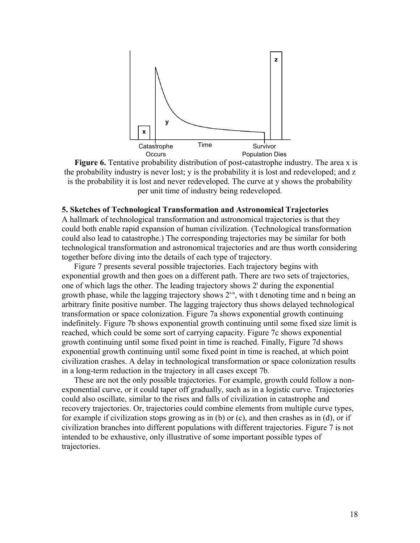

**Figure 6.** Tentative probability distribution of post-catastrophe industry. The area x is the probability industry is never lost; y is the probability it is lost and redeveloped; and z is the probability it is lost and never redeveloped. The curve at y shows the probability per unit time of industry being redeveloped.

#### **5. Sketches of Technological Transformation and Astronomical Trajectories**

A hallmark of technological transformation and astronomical trajectories is that they could both enable rapid expansion of human civilization. (Technological transformation could also lead to catastrophe.) The corresponding trajectories may be similar for both technological transformation and astronomical trajectories and are thus worth considering together before diving into the details of each type of trajectory.

Figure 7 presents several possible trajectories. Each trajectory begins with exponential growth and then goes on a different path. There are two sets of trajectories, one of which lags the other. The leading trajectory shows  $2<sup>t</sup>$  during the exponential growth phase, while the lagging trajectory shows  $2<sup>t-n</sup>$ , with t denoting time and n being an arbitrary finite positive number. The lagging trajectory thus shows delayed technological transformation or space colonization. Figure 7a shows exponential growth continuing indefinitely. Figure 7b shows exponential growth continuing until some fixed size limit is reached, which could be some sort of carrying capacity. Figure 7c shows exponential growth continuing until some fixed point in time is reached. Finally, Figure 7d shows exponential growth continuing until some fixed point in time is reached, at which point civilization crashes. A delay in technological transformation or space colonization results in a long-term reduction in the trajectory in all cases except 7b.

These are not the only possible trajectories. For example, growth could follow a nonexponential curve, or it could taper off gradually, such as in a logistic curve. Trajectories could also oscillate, similar to the rises and falls of civilization in catastrophe and recovery trajectories. Or, trajectories could combine elements from multiple curve types, for example if civilization stops growing as in (b) or  $(c)$ , and then crashes as in (d), or if civilization branches into different populations with different trajectories. Figure 7 is not intended to be exhaustive, only illustrative of some important possible types of trajectories.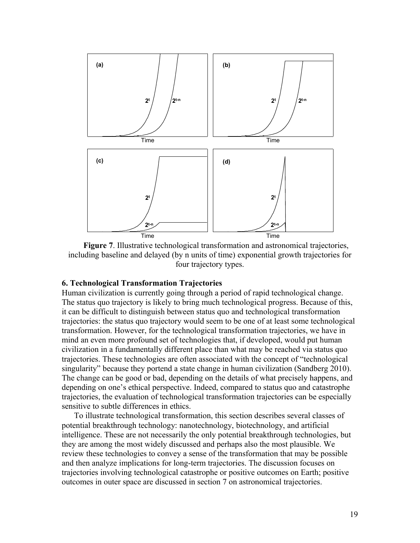

**Figure 7**. Illustrative technological transformation and astronomical trajectories, including baseline and delayed (by n units of time) exponential growth trajectories for four trajectory types.

## **6. Technological Transformation Trajectories**

Human civilization is currently going through a period of rapid technological change. The status quo trajectory is likely to bring much technological progress. Because of this, it can be difficult to distinguish between status quo and technological transformation trajectories: the status quo trajectory would seem to be one of at least some technological transformation. However, for the technological transformation trajectories, we have in mind an even more profound set of technologies that, if developed, would put human civilization in a fundamentally different place than what may be reached via status quo trajectories. These technologies are often associated with the concept of "technological singularity" because they portend a state change in human civilization (Sandberg 2010). The change can be good or bad, depending on the details of what precisely happens, and depending on one's ethical perspective. Indeed, compared to status quo and catastrophe trajectories, the evaluation of technological transformation trajectories can be especially sensitive to subtle differences in ethics.

To illustrate technological transformation, this section describes several classes of potential breakthrough technology: nanotechnology, biotechnology, and artificial intelligence. These are not necessarily the only potential breakthrough technologies, but they are among the most widely discussed and perhaps also the most plausible. We review these technologies to convey a sense of the transformation that may be possible and then analyze implications for long-term trajectories. The discussion focuses on trajectories involving technological catastrophe or positive outcomes on Earth; positive outcomes in outer space are discussed in section 7 on astronomical trajectories.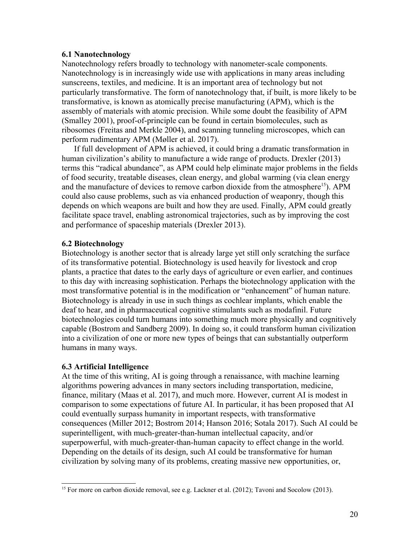## **6.1 Nanotechnology**

Nanotechnology refers broadly to technology with nanometer-scale components. Nanotechnology is in increasingly wide use with applications in many areas including sunscreens, textiles, and medicine. It is an important area of technology but not particularly transformative. The form of nanotechnology that, if built, is more likely to be transformative, is known as atomically precise manufacturing (APM), which is the assembly of materials with atomic precision. While some doubt the feasibility of APM (Smalley 2001), proof-of-principle can be found in certain biomolecules, such as ribosomes (Freitas and Merkle 2004), and scanning tunneling microscopes, which can perform rudimentary APM (Møller et al. 2017).

If full development of APM is achieved, it could bring a dramatic transformation in human civilization's ability to manufacture a wide range of products. Drexler (2013) terms this "radical abundance", as APM could help eliminate major problems in the fields of food security, treatable diseases, clean energy, and global warming (via clean energy and the manufacture of devices to remove carbon dioxide from the atmosphere<sup>[15](#page-19-0)</sup>). APM could also cause problems, such as via enhanced production of weaponry, though this depends on which weapons are built and how they are used. Finally, APM could greatly facilitate space travel, enabling astronomical trajectories, such as by improving the cost and performance of spaceship materials (Drexler 2013).

# **6.2 Biotechnology**

Biotechnology is another sector that is already large yet still only scratching the surface of its transformative potential. Biotechnology is used heavily for livestock and crop plants, a practice that dates to the early days of agriculture or even earlier, and continues to this day with increasing sophistication. Perhaps the biotechnology application with the most transformative potential is in the modification or "enhancement" of human nature. Biotechnology is already in use in such things as cochlear implants, which enable the deaf to hear, and in pharmaceutical cognitive stimulants such as modafinil. Future biotechnologies could turn humans into something much more physically and cognitively capable (Bostrom and Sandberg 2009). In doing so, it could transform human civilization into a civilization of one or more new types of beings that can substantially outperform humans in many ways.

# **6.3 Artificial Intelligence**

At the time of this writing, AI is going through a renaissance, with machine learning algorithms powering advances in many sectors including transportation, medicine, finance, military (Maas et al. 2017), and much more. However, current AI is modest in comparison to some expectations of future AI. In particular, it has been proposed that AI could eventually surpass humanity in important respects, with transformative consequences (Miller 2012; Bostrom 2014; Hanson 2016; Sotala 2017). Such AI could be superintelligent, with much-greater-than-human intellectual capacity, and/or superpowerful, with much-greater-than-human capacity to effect change in the world. Depending on the details of its design, such AI could be transformative for human civilization by solving many of its problems, creating massive new opportunities, or,

<span id="page-19-0"></span><sup>&</sup>lt;sup>15</sup> For more on carbon dioxide removal, see e.g. Lackner et al. (2012); Tavoni and Socolow (2013).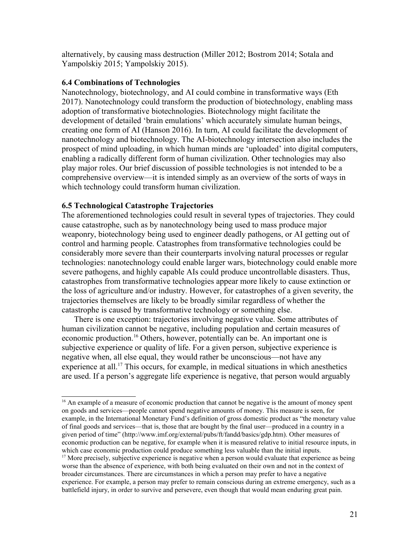alternatively, by causing mass destruction (Miller 2012; Bostrom 2014; Sotala and Yampolskiy 2015; Yampolskiy 2015).

## **6.4 Combinations of Technologies**

Nanotechnology, biotechnology, and AI could combine in transformative ways (Eth 2017). Nanotechnology could transform the production of biotechnology, enabling mass adoption of transformative biotechnologies. Biotechnology might facilitate the development of detailed 'brain emulations' which accurately simulate human beings, creating one form of AI (Hanson 2016). In turn, AI could facilitate the development of nanotechnology and biotechnology. The AI-biotechnology intersection also includes the prospect of mind uploading, in which human minds are 'uploaded' into digital computers, enabling a radically different form of human civilization. Other technologies may also play major roles. Our brief discussion of possible technologies is not intended to be a comprehensive overview—it is intended simply as an overview of the sorts of ways in which technology could transform human civilization.

### **6.5 Technological Catastrophe Trajectories**

The aforementioned technologies could result in several types of trajectories. They could cause catastrophe, such as by nanotechnology being used to mass produce major weaponry, biotechnology being used to engineer deadly pathogens, or AI getting out of control and harming people. Catastrophes from transformative technologies could be considerably more severe than their counterparts involving natural processes or regular technologies: nanotechnology could enable larger wars, biotechnology could enable more severe pathogens, and highly capable AIs could produce uncontrollable disasters. Thus, catastrophes from transformative technologies appear more likely to cause extinction or the loss of agriculture and/or industry. However, for catastrophes of a given severity, the trajectories themselves are likely to be broadly similar regardless of whether the catastrophe is caused by transformative technology or something else.

There is one exception: trajectories involving negative value. Some attributes of human civilization cannot be negative, including population and certain measures of economic production.<sup>[16](#page-20-0)</sup> Others, however, potentially can be. An important one is subjective experience or quality of life. For a given person, subjective experience is negative when, all else equal, they would rather be unconscious—not have any experience at all.<sup>[17](#page-20-1)</sup> This occurs, for example, in medical situations in which anesthetics are used. If a person's aggregate life experience is negative, that person would arguably

<span id="page-20-1"></span><span id="page-20-0"></span><sup>&</sup>lt;sup>16</sup> An example of a measure of economic production that cannot be negative is the amount of money spent on goods and services—people cannot spend negative amounts of money. This measure is seen, for example, in the International Monetary Fund's definition of gross domestic product as "the monetary value of final goods and services—that is, those that are bought by the final user—produced in a country in a given period of time" (http://www.imf.org/external/pubs/ft/fandd/basics/gdp.htm). Other measures of economic production can be negative, for example when it is measured relative to initial resource inputs, in which case economic production could produce something less valuable than the initial inputs. <sup>17</sup> More precisely, subjective experience is negative when a person would evaluate that experience as being worse than the absence of experience, with both being evaluated on their own and not in the context of broader circumstances. There are circumstances in which a person may prefer to have a negative experience. For example, a person may prefer to remain conscious during an extreme emergency, such as a battlefield injury, in order to survive and persevere, even though that would mean enduring great pain.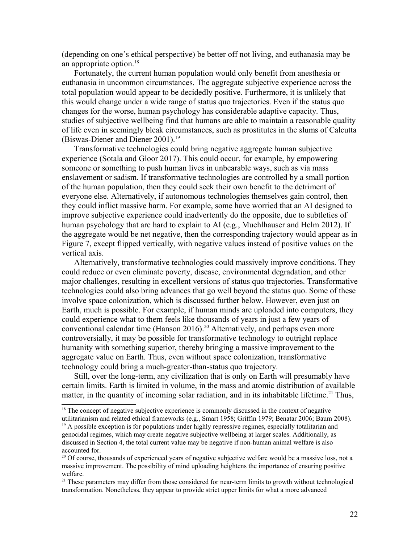(depending on one's ethical perspective) be better off not living, and euthanasia may be an appropriate option.<sup>[18](#page-21-0)</sup>

Fortunately, the current human population would only benefit from anesthesia or euthanasia in uncommon circumstances. The aggregate subjective experience across the total population would appear to be decidedly positive. Furthermore, it is unlikely that this would change under a wide range of status quo trajectories. Even if the status quo changes for the worse, human psychology has considerable adaptive capacity. Thus, studies of subjective wellbeing find that humans are able to maintain a reasonable quality of life even in seemingly bleak circumstances, such as prostitutes in the slums of Calcutta (Biswas-Diener and Diener 2001).<sup>[19](#page-21-1)</sup>

Transformative technologies could bring negative aggregate human subjective experience (Sotala and Gloor 2017). This could occur, for example, by empowering someone or something to push human lives in unbearable ways, such as via mass enslavement or sadism. If transformative technologies are controlled by a small portion of the human population, then they could seek their own benefit to the detriment of everyone else. Alternatively, if autonomous technologies themselves gain control, then they could inflict massive harm. For example, some have worried that an AI designed to improve subjective experience could inadvertently do the opposite, due to subtleties of human psychology that are hard to explain to AI (e.g., Muehlhauser and Helm 2012). If the aggregate would be net negative, then the corresponding trajectory would appear as in Figure 7, except flipped vertically, with negative values instead of positive values on the vertical axis.

Alternatively, transformative technologies could massively improve conditions. They could reduce or even eliminate poverty, disease, environmental degradation, and other major challenges, resulting in excellent versions of status quo trajectories. Transformative technologies could also bring advances that go well beyond the status quo. Some of these involve space colonization, which is discussed further below. However, even just on Earth, much is possible. For example, if human minds are uploaded into computers, they could experience what to them feels like thousands of years in just a few years of conventional calendar time (Hanson  $2016$  $2016$ ).<sup>20</sup> Alternatively, and perhaps even more controversially, it may be possible for transformative technology to outright replace humanity with something superior, thereby bringing a massive improvement to the aggregate value on Earth. Thus, even without space colonization, transformative technology could bring a much-greater-than-status quo trajectory.

Still, over the long-term, any civilization that is only on Earth will presumably have certain limits. Earth is limited in volume, in the mass and atomic distribution of available matter, in the quantity of incoming solar radiation, and in its inhabitable lifetime.<sup>[21](#page-21-3)</sup> Thus,

<span id="page-21-0"></span><sup>&</sup>lt;sup>18</sup> The concept of negative subjective experience is commonly discussed in the context of negative

<span id="page-21-1"></span>utilitarianism and related ethical frameworks (e.g., Smart 1958; Griffin 1979; Benatar 2006; Baum 2008). <sup>19</sup> A possible exception is for populations under highly repressive regimes, especially totalitarian and genocidal regimes, which may create negative subjective wellbeing at larger scales. Additionally, as discussed in Section 4, the total current value may be negative if non-human animal welfare is also accounted for.

<span id="page-21-2"></span><sup>&</sup>lt;sup>20</sup> Of course, thousands of experienced years of negative subjective welfare would be a massive loss, not a massive improvement. The possibility of mind uploading heightens the importance of ensuring positive welfare.

<span id="page-21-3"></span> $21$  These parameters may differ from those considered for near-term limits to growth without technological transformation. Nonetheless, they appear to provide strict upper limits for what a more advanced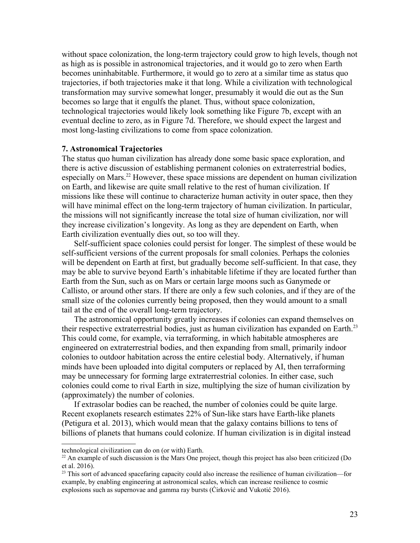without space colonization, the long-term trajectory could grow to high levels, though not as high as is possible in astronomical trajectories, and it would go to zero when Earth becomes uninhabitable. Furthermore, it would go to zero at a similar time as status quo trajectories, if both trajectories make it that long. While a civilization with technological transformation may survive somewhat longer, presumably it would die out as the Sun becomes so large that it engulfs the planet. Thus, without space colonization, technological trajectories would likely look something like Figure 7b, except with an eventual decline to zero, as in Figure 7d. Therefore, we should expect the largest and most long-lasting civilizations to come from space colonization.

#### **7. Astronomical Trajectories**

The status quo human civilization has already done some basic space exploration, and there is active discussion of establishing permanent colonies on extraterrestrial bodies, especially on Mars.<sup>[22](#page-22-0)</sup> However, these space missions are dependent on human civilization on Earth, and likewise are quite small relative to the rest of human civilization. If missions like these will continue to characterize human activity in outer space, then they will have minimal effect on the long-term trajectory of human civilization. In particular, the missions will not significantly increase the total size of human civilization, nor will they increase civilization's longevity. As long as they are dependent on Earth, when Earth civilization eventually dies out, so too will they.

Self-sufficient space colonies could persist for longer. The simplest of these would be self-sufficient versions of the current proposals for small colonies. Perhaps the colonies will be dependent on Earth at first, but gradually become self-sufficient. In that case, they may be able to survive beyond Earth's inhabitable lifetime if they are located further than Earth from the Sun, such as on Mars or certain large moons such as Ganymede or Callisto, or around other stars. If there are only a few such colonies, and if they are of the small size of the colonies currently being proposed, then they would amount to a small tail at the end of the overall long-term trajectory.

The astronomical opportunity greatly increases if colonies can expand themselves on their respective extraterrestrial bodies, just as human civilization has expanded on Earth.<sup>[23](#page-22-1)</sup> This could come, for example, via terraforming, in which habitable atmospheres are engineered on extraterrestrial bodies, and then expanding from small, primarily indoor colonies to outdoor habitation across the entire celestial body. Alternatively, if human minds have been uploaded into digital computers or replaced by AI, then terraforming may be unnecessary for forming large extraterrestrial colonies. In either case, such colonies could come to rival Earth in size, multiplying the size of human civilization by (approximately) the number of colonies.

If extrasolar bodies can be reached, the number of colonies could be quite large. Recent exoplanets research estimates 22% of Sun-like stars have Earth-like planets (Petigura et al. 2013), which would mean that the galaxy contains billions to tens of billions of planets that humans could colonize. If human civilization is in digital instead

technological civilization can do on (or with) Earth.

<span id="page-22-0"></span><sup>&</sup>lt;sup>22</sup> An example of such discussion is the Mars One project, though this project has also been criticized (Do et al. 2016).

<span id="page-22-1"></span><sup>&</sup>lt;sup>23</sup> This sort of advanced spacefaring capacity could also increase the resilience of human civilization—for example, by enabling engineering at astronomical scales, which can increase resilience to cosmic explosions such as supernovae and gamma ray bursts (Ćirković and Vukotić 2016).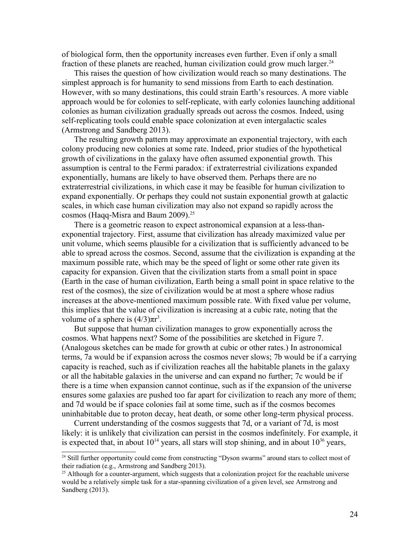of biological form, then the opportunity increases even further. Even if only a small fraction of these planets are reached, human civilization could grow much larger.<sup>[24](#page-23-0)</sup>

This raises the question of how civilization would reach so many destinations. The simplest approach is for humanity to send missions from Earth to each destination. However, with so many destinations, this could strain Earth's resources. A more viable approach would be for colonies to self-replicate, with early colonies launching additional colonies as human civilization gradually spreads out across the cosmos. Indeed, using self-replicating tools could enable space colonization at even intergalactic scales (Armstrong and Sandberg 2013).

The resulting growth pattern may approximate an exponential trajectory, with each colony producing new colonies at some rate. Indeed, prior studies of the hypothetical growth of civilizations in the galaxy have often assumed exponential growth. This assumption is central to the Fermi paradox: if extraterrestrial civilizations expanded exponentially, humans are likely to have observed them. Perhaps there are no extraterrestrial civilizations, in which case it may be feasible for human civilization to expand exponentially. Or perhaps they could not sustain exponential growth at galactic scales, in which case human civilization may also not expand so rapidly across the cosmos (Haqq-Misra and Baum 2009).<sup>[25](#page-23-1)</sup>

There is a geometric reason to expect astronomical expansion at a less-thanexponential trajectory. First, assume that civilization has already maximized value per unit volume, which seems plausible for a civilization that is sufficiently advanced to be able to spread across the cosmos. Second, assume that the civilization is expanding at the maximum possible rate, which may be the speed of light or some other rate given its capacity for expansion. Given that the civilization starts from a small point in space (Earth in the case of human civilization, Earth being a small point in space relative to the rest of the cosmos), the size of civilization would be at most a sphere whose radius increases at the above-mentioned maximum possible rate. With fixed value per volume, this implies that the value of civilization is increasing at a cubic rate, noting that the volume of a sphere is  $(4/3)πr<sup>3</sup>$ .

But suppose that human civilization manages to grow exponentially across the cosmos. What happens next? Some of the possibilities are sketched in Figure 7. (Analogous sketches can be made for growth at cubic or other rates.) In astronomical terms, 7a would be if expansion across the cosmos never slows; 7b would be if a carrying capacity is reached, such as if civilization reaches all the habitable planets in the galaxy or all the habitable galaxies in the universe and can expand no further; 7c would be if there is a time when expansion cannot continue, such as if the expansion of the universe ensures some galaxies are pushed too far apart for civilization to reach any more of them; and 7d would be if space colonies fail at some time, such as if the cosmos becomes uninhabitable due to proton decay, heat death, or some other long-term physical process.

Current understanding of the cosmos suggests that 7d, or a variant of 7d, is most likely: it is unlikely that civilization can persist in the cosmos indefinitely. For example, it is expected that, in about  $10^{14}$  years, all stars will stop shining, and in about  $10^{36}$  years,

<span id="page-23-0"></span><sup>&</sup>lt;sup>24</sup> Still further opportunity could come from constructing "Dyson swarms" around stars to collect most of their radiation (e.g., Armstrong and Sandberg 2013).

<span id="page-23-1"></span><sup>&</sup>lt;sup>25</sup> Although for a counter-argument, which suggests that a colonization project for the reachable universe would be a relatively simple task for a star-spanning civilization of a given level, see Armstrong and Sandberg (2013).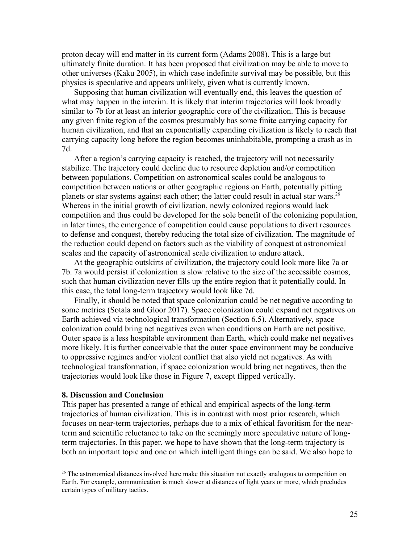proton decay will end matter in its current form (Adams 2008). This is a large but ultimately finite duration. It has been proposed that civilization may be able to move to other universes (Kaku 2005), in which case indefinite survival may be possible, but this physics is speculative and appears unlikely, given what is currently known.

Supposing that human civilization will eventually end, this leaves the question of what may happen in the interim. It is likely that interim trajectories will look broadly similar to 7b for at least an interior geographic core of the civilization. This is because any given finite region of the cosmos presumably has some finite carrying capacity for human civilization, and that an exponentially expanding civilization is likely to reach that carrying capacity long before the region becomes uninhabitable, prompting a crash as in 7d.

After a region's carrying capacity is reached, the trajectory will not necessarily stabilize. The trajectory could decline due to resource depletion and/or competition between populations. Competition on astronomical scales could be analogous to competition between nations or other geographic regions on Earth, potentially pitting planets or star systems against each other; the latter could result in actual star wars.<sup>[26](#page-24-0)</sup> Whereas in the initial growth of civilization, newly colonized regions would lack competition and thus could be developed for the sole benefit of the colonizing population, in later times, the emergence of competition could cause populations to divert resources to defense and conquest, thereby reducing the total size of civilization. The magnitude of the reduction could depend on factors such as the viability of conquest at astronomical scales and the capacity of astronomical scale civilization to endure attack.

At the geographic outskirts of civilization, the trajectory could look more like 7a or 7b. 7a would persist if colonization is slow relative to the size of the accessible cosmos, such that human civilization never fills up the entire region that it potentially could. In this case, the total long-term trajectory would look like 7d.

Finally, it should be noted that space colonization could be net negative according to some metrics (Sotala and Gloor 2017). Space colonization could expand net negatives on Earth achieved via technological transformation (Section 6.5). Alternatively, space colonization could bring net negatives even when conditions on Earth are net positive. Outer space is a less hospitable environment than Earth, which could make net negatives more likely. It is further conceivable that the outer space environment may be conducive to oppressive regimes and/or violent conflict that also yield net negatives. As with technological transformation, if space colonization would bring net negatives, then the trajectories would look like those in Figure 7, except flipped vertically.

#### **8. Discussion and Conclusion**

This paper has presented a range of ethical and empirical aspects of the long-term trajectories of human civilization. This is in contrast with most prior research, which focuses on near-term trajectories, perhaps due to a mix of ethical favoritism for the nearterm and scientific reluctance to take on the seemingly more speculative nature of longterm trajectories. In this paper, we hope to have shown that the long-term trajectory is both an important topic and one on which intelligent things can be said. We also hope to

<span id="page-24-0"></span><sup>&</sup>lt;sup>26</sup> The astronomical distances involved here make this situation not exactly analogous to competition on Earth. For example, communication is much slower at distances of light years or more, which precludes certain types of military tactics.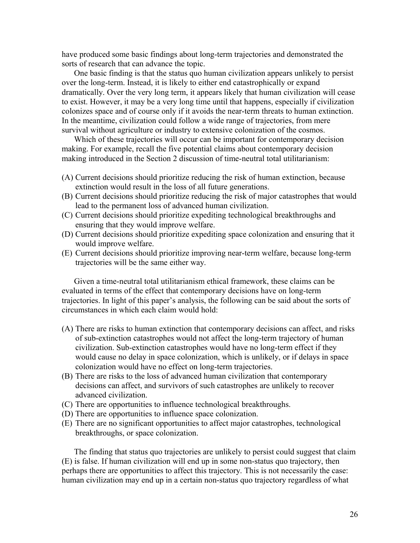have produced some basic findings about long-term trajectories and demonstrated the sorts of research that can advance the topic.

One basic finding is that the status quo human civilization appears unlikely to persist over the long-term. Instead, it is likely to either end catastrophically or expand dramatically. Over the very long term, it appears likely that human civilization will cease to exist. However, it may be a very long time until that happens, especially if civilization colonizes space and of course only if it avoids the near-term threats to human extinction. In the meantime, civilization could follow a wide range of trajectories, from mere survival without agriculture or industry to extensive colonization of the cosmos.

Which of these trajectories will occur can be important for contemporary decision making. For example, recall the five potential claims about contemporary decision making introduced in the Section 2 discussion of time-neutral total utilitarianism:

- (A) Current decisions should prioritize reducing the risk of human extinction, because extinction would result in the loss of all future generations.
- (B) Current decisions should prioritize reducing the risk of major catastrophes that would lead to the permanent loss of advanced human civilization.
- (C) Current decisions should prioritize expediting technological breakthroughs and ensuring that they would improve welfare.
- (D) Current decisions should prioritize expediting space colonization and ensuring that it would improve welfare.
- (E) Current decisions should prioritize improving near-term welfare, because long-term trajectories will be the same either way.

Given a time-neutral total utilitarianism ethical framework, these claims can be evaluated in terms of the effect that contemporary decisions have on long-term trajectories. In light of this paper's analysis, the following can be said about the sorts of circumstances in which each claim would hold:

- (A) There are risks to human extinction that contemporary decisions can affect, and risks of sub-extinction catastrophes would not affect the long-term trajectory of human civilization. Sub-extinction catastrophes would have no long-term effect if they would cause no delay in space colonization, which is unlikely, or if delays in space colonization would have no effect on long-term trajectories.
- (B) There are risks to the loss of advanced human civilization that contemporary decisions can affect, and survivors of such catastrophes are unlikely to recover advanced civilization.
- (C) There are opportunities to influence technological breakthroughs.
- (D) There are opportunities to influence space colonization.
- (E) There are no significant opportunities to affect major catastrophes, technological breakthroughs, or space colonization.

The finding that status quo trajectories are unlikely to persist could suggest that claim (E) is false. If human civilization will end up in some non-status quo trajectory, then perhaps there are opportunities to affect this trajectory. This is not necessarily the case: human civilization may end up in a certain non-status quo trajectory regardless of what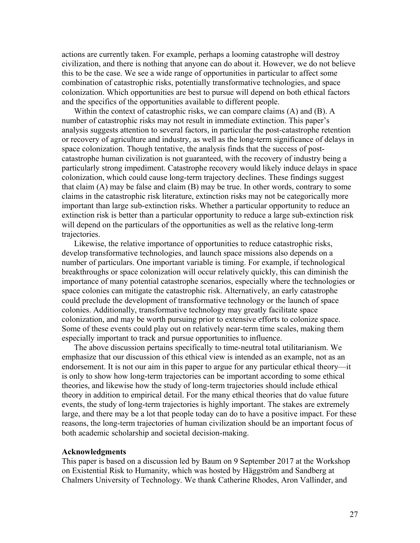actions are currently taken. For example, perhaps a looming catastrophe will destroy civilization, and there is nothing that anyone can do about it. However, we do not believe this to be the case. We see a wide range of opportunities in particular to affect some combination of catastrophic risks, potentially transformative technologies, and space colonization. Which opportunities are best to pursue will depend on both ethical factors and the specifics of the opportunities available to different people.

Within the context of catastrophic risks, we can compare claims (A) and (B). A number of catastrophic risks may not result in immediate extinction. This paper's analysis suggests attention to several factors, in particular the post-catastrophe retention or recovery of agriculture and industry, as well as the long-term significance of delays in space colonization. Though tentative, the analysis finds that the success of postcatastrophe human civilization is not guaranteed, with the recovery of industry being a particularly strong impediment. Catastrophe recovery would likely induce delays in space colonization, which could cause long-term trajectory declines. These findings suggest that claim (A) may be false and claim (B) may be true. In other words, contrary to some claims in the catastrophic risk literature, extinction risks may not be categorically more important than large sub-extinction risks. Whether a particular opportunity to reduce an extinction risk is better than a particular opportunity to reduce a large sub-extinction risk will depend on the particulars of the opportunities as well as the relative long-term trajectories.

Likewise, the relative importance of opportunities to reduce catastrophic risks, develop transformative technologies, and launch space missions also depends on a number of particulars. One important variable is timing. For example, if technological breakthroughs or space colonization will occur relatively quickly, this can diminish the importance of many potential catastrophe scenarios, especially where the technologies or space colonies can mitigate the catastrophic risk. Alternatively, an early catastrophe could preclude the development of transformative technology or the launch of space colonies. Additionally, transformative technology may greatly facilitate space colonization, and may be worth pursuing prior to extensive efforts to colonize space. Some of these events could play out on relatively near-term time scales, making them especially important to track and pursue opportunities to influence.

The above discussion pertains specifically to time-neutral total utilitarianism. We emphasize that our discussion of this ethical view is intended as an example, not as an endorsement. It is not our aim in this paper to argue for any particular ethical theory—it is only to show how long-term trajectories can be important according to some ethical theories, and likewise how the study of long-term trajectories should include ethical theory in addition to empirical detail. For the many ethical theories that do value future events, the study of long-term trajectories is highly important. The stakes are extremely large, and there may be a lot that people today can do to have a positive impact. For these reasons, the long-term trajectories of human civilization should be an important focus of both academic scholarship and societal decision-making.

### **Acknowledgments**

This paper is based on a discussion led by Baum on 9 September 2017 at the Workshop on Existential Risk to Humanity, which was hosted by Häggström and Sandberg at Chalmers University of Technology. We thank Catherine Rhodes, Aron Vallinder, and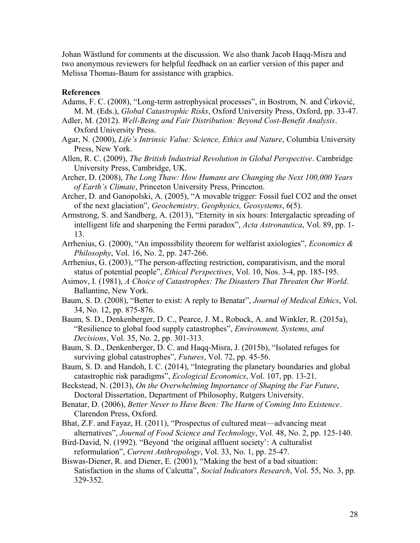Johan Wästlund for comments at the discussion. We also thank Jacob Haqq-Misra and two anonymous reviewers for helpful feedback on an earlier version of this paper and Melissa Thomas-Baum for assistance with graphics.

## **References**

- Adams, F. C. (2008), "Long-term astrophysical processes", in Bostrom, N. and Ćirković, M. M. (Eds.), *Global Catastrophic Risks*, Oxford University Press, Oxford, pp. 33-47.
- Adler, M. (2012). *Well-Being and Fair Distribution: Beyond Cost-Benefit Analysis*. Oxford University Press.
- Agar, N. (2000), *Life's Intrinsic Value: Science, Ethics and Nature*, Columbia University Press, New York.
- Allen, R. C. (2009), *The British Industrial Revolution in Global Perspective*. Cambridge University Press, Cambridge, UK.
- Archer, D. (2008), *The Long Thaw: How Humans are Changing the Next 100,000 Years of Earth's Climate*, Princeton University Press, Princeton.
- Archer, D. and Ganopolski, A. (2005), "A movable trigger: Fossil fuel CO2 and the onset of the next glaciation", *Geochemistry, Geophysics, Geosystems*, 6(5).
- Armstrong, S. and Sandberg, A. (2013), "Eternity in six hours: Intergalactic spreading of intelligent life and sharpening the Fermi paradox", *Acta Astronautica*, Vol. 89, pp. 1- 13.
- Arrhenius, G. (2000), "An impossibility theorem for welfarist axiologies", *Economics & Philosophy*, Vol. 16, No. 2, pp. 247-266.
- Arrhenius, G. (2003), "The person-affecting restriction, comparativism, and the moral status of potential people", *Ethical Perspectives*, Vol. 10, Nos. 3-4, pp. 185-195.
- Asimov, I. (1981), *A Choice of Catastrophes: The Disasters That Threaten Our World*. Ballantine, New York.
- Baum, S. D. (2008), "Better to exist: A reply to Benatar", *Journal of Medical Ethics*, Vol. 34, No. 12, pp. 875-876.
- Baum, S. D., Denkenberger, D. C., Pearce, J. M., Robock, A. and Winkler, R. (2015a), "Resilience to global food supply catastrophes", *Environment, Systems, and Decisions*, Vol. 35, No. 2, pp. 301-313.
- Baum, S. D., Denkenberger, D. C. and Haqq-Misra, J. (2015b), "Isolated refuges for surviving global catastrophes", *Futures*, Vol. 72, pp. 45-56.
- Baum, S. D. and Handoh, I. C. (2014), "Integrating the planetary boundaries and global catastrophic risk paradigms", *Ecological Economics*, Vol. 107, pp. 13-21.
- Beckstead, N. (2013), *On the Overwhelming Importance of Shaping the Far Future*, Doctoral Dissertation, Department of Philosophy, Rutgers University.
- Benatar, D. (2006), *Better Never to Have Been: The Harm of Coming Into Existence*. Clarendon Press, Oxford.
- Bhat, Z.F. and Fayaz, H. (2011), "Prospectus of cultured meat—advancing meat alternatives", *Journal of Food Science and Technology*, Vol. 48, No. 2, pp. 125-140.
- Bird-David, N. (1992). "Beyond 'the original affluent society': A culturalist reformulation", *Current Anthropology*, Vol. 33, No. 1, pp. 25-47.
- Biswas-Diener, R. and Diener, E. (2001), "Making the best of a bad situation: Satisfaction in the slums of Calcutta", *Social Indicators Research*, Vol. 55, No. 3, pp. 329-352.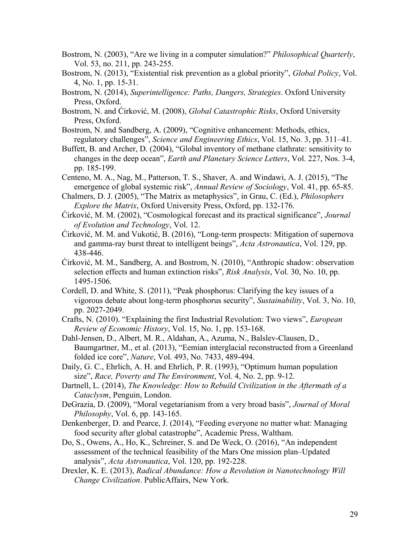- Bostrom, N. (2003), "Are we living in a computer simulation?" *Philosophical Quarterly*, Vol. 53, no. 211, pp. 243-255.
- Bostrom, N. (2013), "Existential risk prevention as a global priority", *Global Policy*, Vol. 4, No. 1, pp. 15-31.
- Bostrom, N. (2014), *Superintelligence: Paths, Dangers, Strategies*. Oxford University Press, Oxford.
- Bostrom, N. and Ćirković, M. (2008), *Global Catastrophic Risks*, Oxford University Press, Oxford.
- Bostrom, N. and Sandberg, A. (2009), "Cognitive enhancement: Methods, ethics, regulatory challenges", *Science and Engineering Ethics*, Vol. 15, No. 3, pp. 311–41.
- Buffett, B. and Archer, D. (2004), "Global inventory of methane clathrate: sensitivity to changes in the deep ocean", *Earth and Planetary Science Letters*, Vol. 227, Nos. 3-4, pp. 185-199.
- Centeno, M. A., Nag, M., Patterson, T. S., Shaver, A. and Windawi, A. J. (2015), "The emergence of global systemic risk", *Annual Review of Sociology*, Vol. 41, pp. 65-85.
- Chalmers, D. J. (2005), "The Matrix as metaphysics", in Grau, C. (Ed.), *Philosophers Explore the Matrix*, Oxford University Press, Oxford, pp. 132-176.
- Ćirković, M. M. (2002), "Cosmological forecast and its practical significance", *Journal of Evolution and Technology*, Vol. 12.
- Ćirković, M. M. and Vukotić, B. (2016), "Long-term prospects: Mitigation of supernova and gamma-ray burst threat to intelligent beings", *Acta Astronautica*, Vol. 129, pp. 438-446.
- Ćirković, M. M., Sandberg, A. and Bostrom, N. (2010), "Anthropic shadow: observation selection effects and human extinction risks", *Risk Analysis*, Vol. 30, No. 10, pp. 1495-1506.
- Cordell, D. and White, S. (2011), "Peak phosphorus: Clarifying the key issues of a vigorous debate about long-term phosphorus security", *Sustainability*, Vol. 3, No. 10, pp. 2027-2049.
- Crafts, N. (2010). "Explaining the first Industrial Revolution: Two views", *European Review of Economic History*, Vol. 15, No. 1, pp. 153-168.
- Dahl-Jensen, D., Albert, M. R., Aldahan, A., Azuma, N., Balslev-Clausen, D., Baumgartner, M., et al. (2013), "Eemian interglacial reconstructed from a Greenland folded ice core", *Nature*, Vol. 493, No. 7433, 489-494.
- Daily, G. C., Ehrlich, A. H. and Ehrlich, P. R. (1993), "Optimum human population size", *Race, Poverty and The Environment*, Vol. 4, No. 2, pp. 9-12.
- Dartnell, L. (2014), *The Knowledge: How to Rebuild Civilization in the Aftermath of a Cataclysm*, Penguin, London.
- DeGrazia, D. (2009), "Moral vegetarianism from a very broad basis", *Journal of Moral Philosophy*, Vol. 6, pp. 143-165.
- Denkenberger, D. and Pearce, J. (2014), "Feeding everyone no matter what: Managing food security after global catastrophe", Academic Press, Waltham.
- Do, S., Owens, A., Ho, K., Schreiner, S. and De Weck, O. (2016), "An independent assessment of the technical feasibility of the Mars One mission plan–Updated analysis", *Acta Astronautica*, Vol. 120, pp. 192-228.
- Drexler, K. E. (2013), *Radical Abundance: How a Revolution in Nanotechnology Will Change Civilization*. PublicAffairs, New York.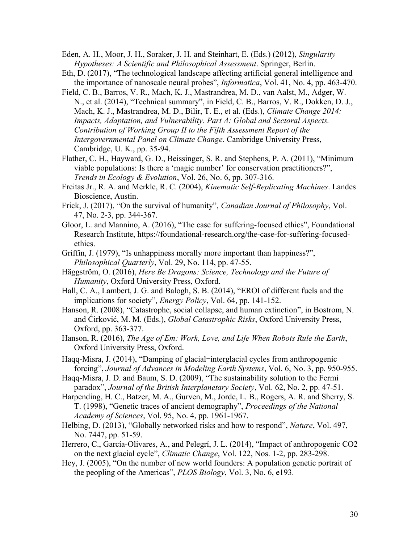Eden, A. H., Moor, J. H., Soraker, J. H. and Steinhart, E. (Eds.) (2012), *Singularity Hypotheses: A Scientific and Philosophical Assessment*. Springer, Berlin.

- Eth, D. (2017), "The technological landscape affecting artificial general intelligence and the importance of nanoscale neural probes", *Informatica*, Vol. 41, No. 4, pp. 463-470.
- Field, C. B., Barros, V. R., Mach, K. J., Mastrandrea, M. D., van Aalst, M., Adger, W. N., et al. (2014), "Technical summary", in Field, C. B., Barros, V. R., Dokken, D. J., Mach, K. J., Mastrandrea, M. D., Bilir, T. E., et al. (Eds.), *Climate Change 2014: Impacts, Adaptation, and Vulnerability. Part A: Global and Sectoral Aspects. Contribution of Working Group II to the Fifth Assessment Report of the Intergovernmental Panel on Climate Change*. Cambridge University Press, Cambridge, U. K., pp. 35-94.
- Flather, C. H., Hayward, G. D., Beissinger, S. R. and Stephens, P. A. (2011), "Minimum viable populations: Is there a 'magic number' for conservation practitioners?", *Trends in Ecology & Evolution*, Vol. 26, No. 6, pp. 307-316.
- Freitas Jr., R. A. and Merkle, R. C. (2004), *Kinematic Self-Replicating Machines*. Landes Bioscience, Austin.
- Frick, J. (2017), "On the survival of humanity", *Canadian Journal of Philosophy*, Vol. 47, No. 2-3, pp. 344-367.
- Gloor, L. and Mannino, A. (2016), "The case for suffering-focused ethics", Foundational Research Institute, https://foundational-research.org/the-case-for-suffering-focusedethics.
- Griffin, J. (1979), "Is unhappiness morally more important than happiness?", *Philosophical Quarterly*, Vol. 29, No. 114, pp. 47-55.
- Häggström, O. (2016), *Here Be Dragons: Science, Technology and the Future of Humanity*, Oxford University Press, Oxford.
- Hall, C. A., Lambert, J. G. and Balogh, S. B. (2014), "EROI of different fuels and the implications for society", *Energy Policy*, Vol. 64, pp. 141-152.
- Hanson, R. (2008), "Catastrophe, social collapse, and human extinction", in Bostrom, N. and Ćirković, M. M. (Eds.), *Global Catastrophic Risks*, Oxford University Press, Oxford, pp. 363-377.
- Hanson, R. (2016), *The Age of Em: Work, Love, and Life When Robots Rule the Earth*, Oxford University Press, Oxford.
- Haqq-Misra, J. (2014), "Damping of glacial-interglacial cycles from anthropogenic forcing", *Journal of Advances in Modeling Earth Systems*, Vol. 6, No. 3, pp. 950-955.
- Haqq-Misra, J. D. and Baum, S. D. (2009), "The sustainability solution to the Fermi paradox", *Journal of the British Interplanetary Society*, Vol. 62, No. 2, pp. 47-51.
- Harpending, H. C., Batzer, M. A., Gurven, M., Jorde, L. B., Rogers, A. R. and Sherry, S. T. (1998), "Genetic traces of ancient demography", *Proceedings of the National Academy of Sciences*, Vol. 95, No. 4, pp. 1961-1967.
- Helbing, D. (2013), "Globally networked risks and how to respond", *Nature*, Vol. 497, No. 7447, pp. 51-59.
- Herrero, C., García-Olivares, A., and Pelegrí, J. L. (2014), "Impact of anthropogenic CO2 on the next glacial cycle", *Climatic Change*, Vol. 122, Nos. 1-2, pp. 283-298.
- Hey, J. (2005), "On the number of new world founders: A population genetic portrait of the peopling of the Americas", *PLOS Biology*, Vol. 3, No. 6, e193.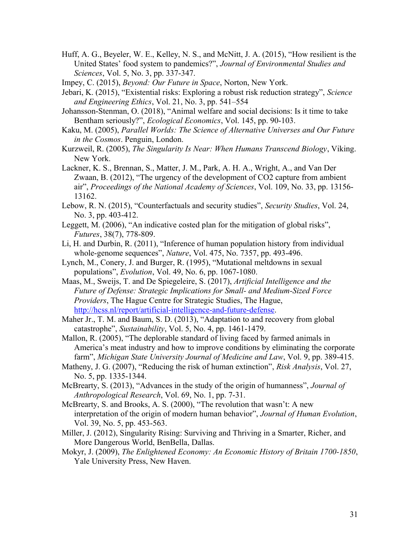Huff, A. G., Beyeler, W. E., Kelley, N. S., and McNitt, J. A. (2015), "How resilient is the United States' food system to pandemics?", *Journal of Environmental Studies and Sciences*, Vol. 5, No. 3, pp. 337-347.

Impey, C. (2015), *Beyond: Our Future in Space*, Norton, New York.

- Jebari, K. (2015), "Existential risks: Exploring a robust risk reduction strategy", *Science and Engineering Ethics*, Vol. 21, No. 3, pp. 541–554
- Johansson-Stenman, O. (2018), "Animal welfare and social decisions: Is it time to take Bentham seriously?", *Ecological Economics*, Vol. 145, pp. 90-103.
- Kaku, M. (2005), *Parallel Worlds: The Science of Alternative Universes and Our Future in the Cosmos*. Penguin, London.
- Kurzweil, R. (2005), *The Singularity Is Near: When Humans Transcend Biology*, Viking. New York.
- Lackner, K. S., Brennan, S., Matter, J. M., Park, A. H. A., Wright, A., and Van Der Zwaan, B. (2012), "The urgency of the development of CO2 capture from ambient air", *Proceedings of the National Academy of Sciences*, Vol. 109, No. 33, pp. 13156- 13162.
- Lebow, R. N. (2015), "Counterfactuals and security studies", *Security Studies*, Vol. 24, No. 3, pp. 403-412.
- Leggett, M. (2006), "An indicative costed plan for the mitigation of global risks", *Futures*, 38(7), 778-809.
- Li, H. and Durbin, R. (2011), "Inference of human population history from individual whole-genome sequences", *Nature*, Vol. 475, No. 7357, pp. 493-496.
- Lynch, M., Conery, J. and Burger, R. (1995), "Mutational meltdowns in sexual populations", *Evolution*, Vol. 49, No. 6, pp. 1067-1080.
- Maas, M., Sweijs, T. and De Spiegeleire, S. (2017), *Artificial Intelligence and the Future of Defense: Strategic Implications for Small- and Medium-Sized Force Providers*, The Hague Centre for Strategic Studies, The Hague, [http://hcss.nl/report/artificial-intelligence-and-future-defense.](http://hcss.nl/report/artificial-intelligence-and-future-defense)
- Maher Jr., T. M. and Baum, S. D. (2013), "Adaptation to and recovery from global catastrophe", *Sustainability*, Vol. 5, No. 4, pp. 1461-1479.
- Mallon, R. (2005), "The deplorable standard of living faced by farmed animals in America's meat industry and how to improve conditions by eliminating the corporate farm", *Michigan State University Journal of Medicine and Law*, Vol. 9, pp. 389-415.
- Matheny, J. G. (2007), "Reducing the risk of human extinction", *Risk Analysis*, Vol. 27, No. 5, pp. 1335-1344.
- McBrearty, S. (2013), "Advances in the study of the origin of humanness", *Journal of Anthropological Research*, Vol. 69, No. 1, pp. 7-31.
- McBrearty, S. and Brooks, A. S. (2000), "The revolution that wasn't: A new interpretation of the origin of modern human behavior", *Journal of Human Evolution*, Vol. 39, No. 5, pp. 453-563.
- Miller, J. (2012), Singularity Rising: Surviving and Thriving in a Smarter, Richer, and More Dangerous World, BenBella, Dallas.
- Mokyr, J. (2009), *The Enlightened Economy: An Economic History of Britain 1700-1850*, Yale University Press, New Haven.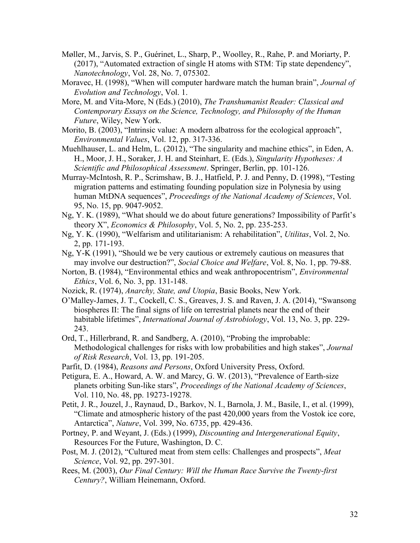- Møller, M., Jarvis, S. P., Guérinet, L., Sharp, P., Woolley, R., Rahe, P. and Moriarty, P. (2017), "Automated extraction of single H atoms with STM: Tip state dependency", *Nanotechnology*, Vol. 28, No. 7, 075302.
- Moravec, H. (1998), "When will computer hardware match the human brain", *Journal of Evolution and Technology*, Vol. 1.
- More, M. and Vita-More, N (Eds.) (2010), *The Transhumanist Reader: Classical and Contemporary Essays on the Science, Technology, and Philosophy of the Human Future*, Wiley, New York.
- Morito, B. (2003), "Intrinsic value: A modern albatross for the ecological approach", *Environmental Values*, Vol. 12, pp. 317-336.
- Muehlhauser, L. and Helm, L. (2012), "The singularity and machine ethics", in Eden, A. H., Moor, J. H., Soraker, J. H. and Steinhart, E. (Eds.), *Singularity Hypotheses: A Scientific and Philosophical Assessment*. Springer, Berlin, pp. 101-126.
- Murray-McIntosh, R. P., Scrimshaw, B. J., Hatfield, P. J. and Penny, D. (1998), "Testing migration patterns and estimating founding population size in Polynesia by using human MtDNA sequences", *Proceedings of the National Academy of Sciences*, Vol. 95, No. 15, pp. 9047-9052.
- Ng, Y. K. (1989), "What should we do about future generations? Impossibility of Parfit's theory X", *Economics & Philosophy*, Vol. 5, No. 2, pp. 235-253.
- Ng, Y. K. (1990), "Welfarism and utilitarianism: A rehabilitation", *Utilitas*, Vol. 2, No. 2, pp. 171-193.
- Ng, Y-K (1991), "Should we be very cautious or extremely cautious on measures that may involve our destruction?", *Social Choice and Welfare*, Vol. 8, No. 1, pp. 79-88.
- Norton, B. (1984), "Environmental ethics and weak anthropocentrism", *Environmental Ethics*, Vol. 6, No. 3, pp. 131-148.
- Nozick, R. (1974), *Anarchy, State, and Utopia*, Basic Books, New York.
- O'Malley-James, J. T., Cockell, C. S., Greaves, J. S. and Raven, J. A. (2014), "Swansong biospheres II: The final signs of life on terrestrial planets near the end of their habitable lifetimes", *International Journal of Astrobiology*, Vol. 13, No. 3, pp. 229- 243.
- Ord, T., Hillerbrand, R. and Sandberg, A. (2010), "Probing the improbable: Methodological challenges for risks with low probabilities and high stakes", *Journal of Risk Research*, Vol. 13, pp. 191-205.
- Parfit, D. (1984), *Reasons and Persons*, Oxford University Press, Oxford.
- Petigura, E. A., Howard, A. W. and Marcy, G. W. (2013), "Prevalence of Earth-size planets orbiting Sun-like stars", *Proceedings of the National Academy of Sciences*, Vol. 110, No. 48, pp. 19273-19278.
- Petit, J. R., Jouzel, J., Raynaud, D., Barkov, N. I., Barnola, J. M., Basile, I., et al. (1999), "Climate and atmospheric history of the past 420,000 years from the Vostok ice core, Antarctica", *Nature*, Vol. 399, No. 6735, pp. 429-436.
- Portney, P. and Weyant, J. (Eds.) (1999), *Discounting and Intergenerational Equity*, Resources For the Future, Washington, D. C.
- Post, M. J. (2012), "Cultured meat from stem cells: Challenges and prospects", *Meat Science*, Vol. 92, pp. 297-301.
- Rees, M. (2003), *Our Final Century: Will the Human Race Survive the Twenty-first Century?*, William Heinemann, Oxford.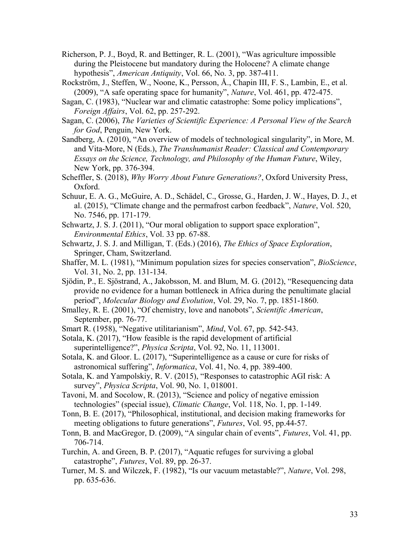- Richerson, P. J., Boyd, R. and Bettinger, R. L. (2001), "Was agriculture impossible during the Pleistocene but mandatory during the Holocene? A climate change hypothesis", *American Antiquity*, Vol. 66, No. 3, pp. 387-411.
- Rockström, J., Steffen, W., Noone, K., Persson, Å., Chapin III, F. S., Lambin, E., et al. (2009), "A safe operating space for humanity", *Nature*, Vol. 461, pp. 472-475.
- Sagan, C. (1983), "Nuclear war and climatic catastrophe: Some policy implications", *Foreign Affairs*, Vol. 62, pp. 257-292.
- Sagan, C. (2006), *The Varieties of Scientific Experience: A Personal View of the Search for God*, Penguin, New York.
- Sandberg, A. (2010), "An overview of models of technological singularity", in More, M. and Vita-More, N (Eds.), *The Transhumanist Reader: Classical and Contemporary Essays on the Science, Technology, and Philosophy of the Human Future*, Wiley, New York, pp. 376-394.
- Scheffler, S. (2018), *Why Worry About Future Generations?*, Oxford University Press, Oxford.
- Schuur, E. A. G., McGuire, A. D., Schädel, C., Grosse, G., Harden, J. W., Hayes, D. J., et al. (2015), "Climate change and the permafrost carbon feedback", *Nature*, Vol. 520, No. 7546, pp. 171-179.
- Schwartz, J. S. J. (2011), "Our moral obligation to support space exploration", *Environmental Ethics*, Vol. 33 pp. 67-88.
- Schwartz, J. S. J. and Milligan, T. (Eds.) (2016), *The Ethics of Space Exploration*, Springer, Cham, Switzerland.
- Shaffer, M. L. (1981), "Minimum population sizes for species conservation", *BioScience*, Vol. 31, No. 2, pp. 131-134.
- Sjödin, P., E. Sjöstrand, A., Jakobsson, M. and Blum, M. G. (2012), "Resequencing data provide no evidence for a human bottleneck in Africa during the penultimate glacial period", *Molecular Biology and Evolution*, Vol. 29, No. 7, pp. 1851-1860.
- Smalley, R. E. (2001), "Of chemistry, love and nanobots", *Scientific American*, September, pp. 76-77.
- Smart R. (1958), "Negative utilitarianism", *Mind*, Vol. 67, pp. 542-543.
- Sotala, K. (2017), "How feasible is the rapid development of artificial superintelligence?", *Physica Scripta*, Vol. 92, No. 11, 113001.
- Sotala, K. and Gloor. L. (2017), "Superintelligence as a cause or cure for risks of astronomical suffering", *Informatica*, Vol. 41, No. 4, pp. 389-400.
- Sotala, K. and Yampolskiy, R. V. (2015), "Responses to catastrophic AGI risk: A survey", *Physica Scripta*, Vol. 90, No. 1, 018001.
- Tavoni, M. and Socolow, R. (2013), "Science and policy of negative emission technologies" (special issue), *Climatic Change*, Vol. 118, No. 1, pp. 1-149.
- Tonn, B. E. (2017), "Philosophical, institutional, and decision making frameworks for meeting obligations to future generations", *Futures*, Vol. 95, pp.44-57.
- Tonn, B. and MacGregor, D. (2009), "A singular chain of events", *Futures*, Vol. 41, pp. 706-714.
- Turchin, A. and Green, B. P. (2017), "Aquatic refuges for surviving a global catastrophe", *Futures*, Vol. 89, pp. 26-37.
- Turner, M. S. and Wilczek, F. (1982), "Is our vacuum metastable?", *Nature*, Vol. 298, pp. 635-636.